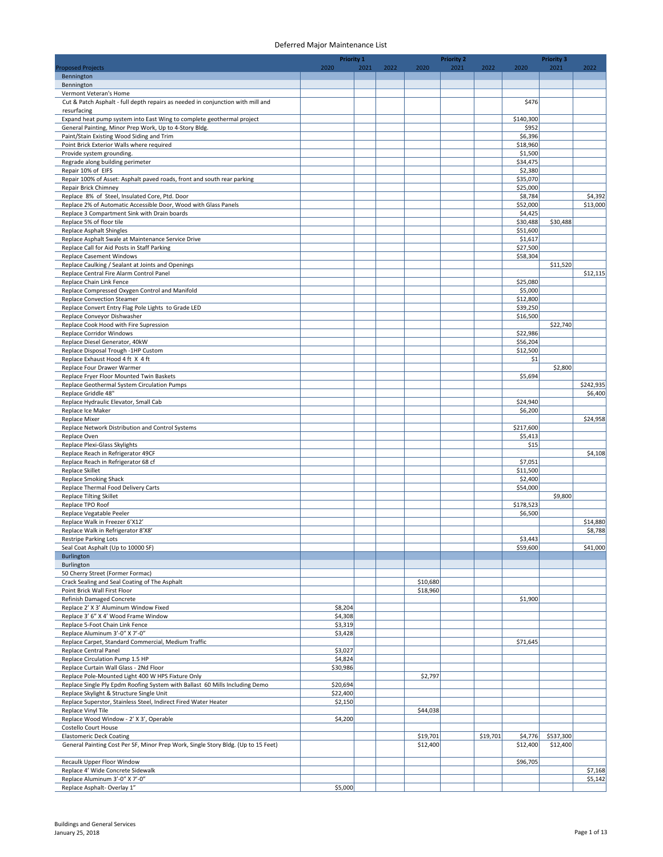|                                                                                                                                  | Priority 1         |      |      |          | <b>Priority 2</b> |          |                      | <b>Priority 3</b> |           |
|----------------------------------------------------------------------------------------------------------------------------------|--------------------|------|------|----------|-------------------|----------|----------------------|-------------------|-----------|
| <b>Proposed Projects</b>                                                                                                         | 2020               | 2021 | 2022 | 2020     | 2021              | 2022     | 2020                 | 2021              | 2022      |
| Bennington                                                                                                                       |                    |      |      |          |                   |          |                      |                   |           |
| Bennington<br>Vermont Veteran's Home                                                                                             |                    |      |      |          |                   |          |                      |                   |           |
| Cut & Patch Asphalt - full depth repairs as needed in conjunction with mill and                                                  |                    |      |      |          |                   |          | \$476                |                   |           |
| resurfacing                                                                                                                      |                    |      |      |          |                   |          |                      |                   |           |
| Expand heat pump system into East Wing to complete geothermal project                                                            |                    |      |      |          |                   |          | \$140,300            |                   |           |
| General Painting, Minor Prep Work, Up to 4-Story Bldg.<br>Paint/Stain Existing Wood Siding and Trim                              |                    |      |      |          |                   |          | \$952<br>\$6,396     |                   |           |
| Point Brick Exterior Walls where required                                                                                        |                    |      |      |          |                   |          | \$18,960             |                   |           |
| Provide system grounding.                                                                                                        |                    |      |      |          |                   |          | \$1,500              |                   |           |
| Regrade along building perimeter                                                                                                 |                    |      |      |          |                   |          | \$34,475             |                   |           |
| Repair 10% of EIFS                                                                                                               |                    |      |      |          |                   |          | \$2,380              |                   |           |
| Repair 100% of Asset: Asphalt paved roads, front and south rear parking<br><b>Repair Brick Chimney</b>                           |                    |      |      |          |                   |          | \$35,070<br>\$25,000 |                   |           |
| Replace 8% of Steel, Insulated Core, Ptd. Door                                                                                   |                    |      |      |          |                   |          | \$8,784              |                   | \$4,392   |
| Replace 2% of Automatic Accessible Door, Wood with Glass Panels                                                                  |                    |      |      |          |                   |          | \$52,000             |                   | \$13,000  |
| Replace 3 Compartment Sink with Drain boards                                                                                     |                    |      |      |          |                   |          | \$4,425              |                   |           |
| Replace 5% of floor tile                                                                                                         |                    |      |      |          |                   |          | \$30,488             | \$30,488          |           |
| Replace Asphalt Shingles<br>Replace Asphalt Swale at Maintenance Service Drive                                                   |                    |      |      |          |                   |          | \$51,600<br>\$1,617  |                   |           |
| Replace Call for Aid Posts in Staff Parking                                                                                      |                    |      |      |          |                   |          | \$27,500             |                   |           |
| <b>Replace Casement Windows</b>                                                                                                  |                    |      |      |          |                   |          | \$58,304             |                   |           |
| Replace Caulking / Sealant at Joints and Openings                                                                                |                    |      |      |          |                   |          |                      | \$11,520          |           |
| Replace Central Fire Alarm Control Panel                                                                                         |                    |      |      |          |                   |          |                      |                   | \$12,115  |
| Replace Chain Link Fence                                                                                                         |                    |      |      |          |                   |          | \$25,080             |                   |           |
| Replace Compressed Oxygen Control and Manifold<br><b>Replace Convection Steamer</b>                                              |                    |      |      |          |                   |          | \$5,000<br>\$12,800  |                   |           |
| Replace Convert Entry Flag Pole Lights to Grade LED                                                                              |                    |      |      |          |                   |          | \$39,250             |                   |           |
| Replace Conveyor Dishwasher                                                                                                      |                    |      |      |          |                   |          | \$16,500             |                   |           |
| Replace Cook Hood with Fire Supression                                                                                           |                    |      |      |          |                   |          |                      | \$22,740          |           |
| Replace Corridor Windows                                                                                                         |                    |      |      |          |                   |          | \$22,986             |                   |           |
| Replace Diesel Generator, 40kW                                                                                                   |                    |      |      |          |                   |          | \$56,204             |                   |           |
| Replace Disposal Trough -1HP Custom<br>Replace Exhaust Hood 4 ft X 4 ft                                                          |                    |      |      |          |                   |          | \$12,500<br>\$1      |                   |           |
| Replace Four Drawer Warmer                                                                                                       |                    |      |      |          |                   |          |                      | \$2,800           |           |
| Replace Fryer Floor Mounted Twin Baskets                                                                                         |                    |      |      |          |                   |          | \$5,694              |                   |           |
| Replace Geothermal System Circulation Pumps                                                                                      |                    |      |      |          |                   |          |                      |                   | \$242,935 |
| Replace Griddle 48"                                                                                                              |                    |      |      |          |                   |          |                      |                   | \$6,400   |
| Replace Hydraulic Elevator, Small Cab<br>Replace Ice Maker                                                                       |                    |      |      |          |                   |          | \$24,940<br>\$6,200  |                   |           |
| <b>Replace Mixer</b>                                                                                                             |                    |      |      |          |                   |          |                      |                   | \$24,958  |
| Replace Network Distribution and Control Systems                                                                                 |                    |      |      |          |                   |          | \$217,600            |                   |           |
| Replace Oven                                                                                                                     |                    |      |      |          |                   |          | \$5,413              |                   |           |
| Replace Plexi-Glass Skylights                                                                                                    |                    |      |      |          |                   |          | \$15                 |                   |           |
| Replace Reach in Refrigerator 49CF<br>Replace Reach in Refrigerator 68 cf                                                        |                    |      |      |          |                   |          | \$7,051              |                   | \$4,108   |
| <b>Replace Skillet</b>                                                                                                           |                    |      |      |          |                   |          | \$11,500             |                   |           |
| <b>Replace Smoking Shack</b>                                                                                                     |                    |      |      |          |                   |          | \$2,400              |                   |           |
| Replace Thermal Food Delivery Carts                                                                                              |                    |      |      |          |                   |          | \$54,000             |                   |           |
| <b>Replace Tilting Skillet</b>                                                                                                   |                    |      |      |          |                   |          |                      | \$9,800           |           |
| Replace TPO Roof<br>Replace Vegatable Peeler                                                                                     |                    |      |      |          |                   |          | \$178,523<br>\$6,500 |                   |           |
| Replace Walk in Freezer 6'X12'                                                                                                   |                    |      |      |          |                   |          |                      |                   | \$14,880  |
| Replace Walk in Refrigerator 8'X8'                                                                                               |                    |      |      |          |                   |          |                      |                   | \$8,788   |
| Restripe Parking Lots                                                                                                            |                    |      |      |          |                   |          | \$3,443              |                   |           |
| Seal Coat Asphalt (Up to 10000 SF)                                                                                               |                    |      |      |          |                   |          | \$59,600             |                   | \$41,000  |
| Burlington                                                                                                                       |                    |      |      |          |                   |          |                      |                   |           |
| Burlington<br>50 Cherry Street (Former Formac)                                                                                   |                    |      |      |          |                   |          |                      |                   |           |
| Crack Sealing and Seal Coating of The Asphalt                                                                                    |                    |      |      | \$10,680 |                   |          |                      |                   |           |
| Point Brick Wall First Floor                                                                                                     |                    |      |      | \$18,960 |                   |          |                      |                   |           |
| Refinish Damaged Concrete                                                                                                        |                    |      |      |          |                   |          | \$1,900              |                   |           |
| Replace 2' X 3' Aluminum Window Fixed                                                                                            | \$8,204            |      |      |          |                   |          |                      |                   |           |
| Replace 3' 6" X 4' Wood Frame Window<br>Replace 5-Foot Chain Link Fence                                                          | \$4,308            |      |      |          |                   |          |                      |                   |           |
| Replace Aluminum 3'-0" X 7'-0"                                                                                                   | \$3,319<br>\$3,428 |      |      |          |                   |          |                      |                   |           |
| Replace Carpet, Standard Commercial, Medium Traffic                                                                              |                    |      |      |          |                   |          | \$71,645             |                   |           |
| Replace Central Panel                                                                                                            | \$3,027            |      |      |          |                   |          |                      |                   |           |
| Replace Circulation Pump 1.5 HP                                                                                                  | \$4,824            |      |      |          |                   |          |                      |                   |           |
| Replace Curtain Wall Glass - 2Nd Floor                                                                                           | \$30,986           |      |      |          |                   |          |                      |                   |           |
| Replace Pole-Mounted Light 400 W HPS Fixture Only<br>Replace Single Ply Epdm Roofing System with Ballast 60 Mills Including Demo | \$20,694           |      |      | \$2,797  |                   |          |                      |                   |           |
| Replace Skylight & Structure Single Unit                                                                                         | \$22,400           |      |      |          |                   |          |                      |                   |           |
| Replace Superstor, Stainless Steel, Indirect Fired Water Heater                                                                  | \$2,150            |      |      |          |                   |          |                      |                   |           |
| Replace Vinyl Tile                                                                                                               |                    |      |      | \$44,038 |                   |          |                      |                   |           |
| Replace Wood Window - 2' X 3', Operable                                                                                          | \$4,200            |      |      |          |                   |          |                      |                   |           |
| Costello Court House<br><b>Elastomeric Deck Coating</b>                                                                          |                    |      |      | \$19,701 |                   | \$19,701 | \$4,776              | \$537,300         |           |
| General Painting Cost Per SF, Minor Prep Work, Single Story Bldg. (Up to 15 Feet)                                                |                    |      |      | \$12,400 |                   |          | \$12,400             | \$12,400          |           |
|                                                                                                                                  |                    |      |      |          |                   |          |                      |                   |           |
| Recaulk Upper Floor Window                                                                                                       |                    |      |      |          |                   |          | \$96,705             |                   |           |
| Replace 4' Wide Concrete Sidewalk                                                                                                |                    |      |      |          |                   |          |                      |                   | \$7,168   |
| Replace Aluminum 3'-0" X 7'-0"                                                                                                   |                    |      |      |          |                   |          |                      |                   | \$5,142   |
| Replace Asphalt-Overlay 1"                                                                                                       | \$5,000            |      |      |          |                   |          |                      |                   |           |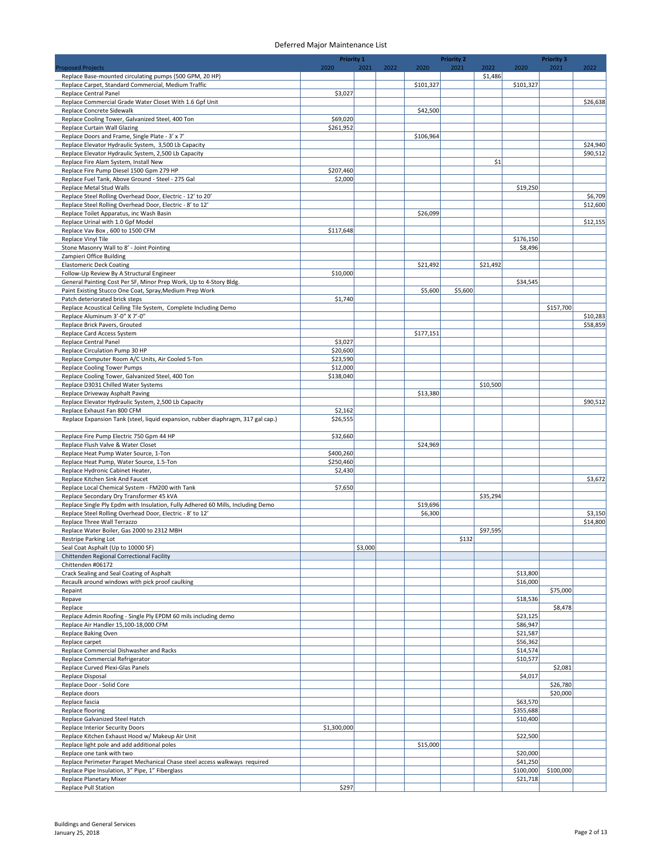|                                                                                                                 | Priority 1  |         |      |           | <b>Priority 2</b> |          |           | <b>Priority 3</b> |          |
|-----------------------------------------------------------------------------------------------------------------|-------------|---------|------|-----------|-------------------|----------|-----------|-------------------|----------|
| <b>Proposed Projects</b>                                                                                        | 2020        | 2021    | 2022 | 2020      | 2021              | 2022     | 2020      | 2021              | 2022     |
| Replace Base-mounted circulating pumps (500 GPM, 20 HP)<br>Replace Carpet, Standard Commercial, Medium Traffic  |             |         |      | \$101,327 |                   | \$1,486  | \$101,327 |                   |          |
| Replace Central Panel                                                                                           | \$3,027     |         |      |           |                   |          |           |                   |          |
| Replace Commercial Grade Water Closet With 1.6 Gpf Unit                                                         |             |         |      |           |                   |          |           |                   | \$26,638 |
| Replace Concrete Sidewalk                                                                                       |             |         |      | \$42,500  |                   |          |           |                   |          |
| Replace Cooling Tower, Galvanized Steel, 400 Ton                                                                | \$69,020    |         |      |           |                   |          |           |                   |          |
| Replace Curtain Wall Glazing                                                                                    | \$261,952   |         |      |           |                   |          |           |                   |          |
| Replace Doors and Frame, Single Plate - 3' x 7'                                                                 |             |         |      | \$106,964 |                   |          |           |                   |          |
| Replace Elevator Hydraulic System, 3,500 Lb Capacity                                                            |             |         |      |           |                   |          |           |                   | \$24,940 |
| Replace Elevator Hydraulic System, 2,500 Lb Capacity                                                            |             |         |      |           |                   | \$1      |           |                   | \$90,512 |
| Replace Fire Alam System, Install New<br>Replace Fire Pump Diesel 1500 Gpm 279 HP                               | \$207,460   |         |      |           |                   |          |           |                   |          |
| Replace Fuel Tank, Above Ground - Steel - 275 Gal                                                               | \$2,000     |         |      |           |                   |          |           |                   |          |
| Replace Metal Stud Walls                                                                                        |             |         |      |           |                   |          | \$19,250  |                   |          |
| Replace Steel Rolling Overhead Door, Electric - 12' to 20'                                                      |             |         |      |           |                   |          |           |                   | \$6,709  |
| Replace Steel Rolling Overhead Door, Electric - 8' to 12'                                                       |             |         |      |           |                   |          |           |                   | \$12,600 |
| Replace Toilet Apparatus, inc Wash Basin                                                                        |             |         |      | \$26,099  |                   |          |           |                   |          |
| Replace Urinal with 1.0 Gpf Model                                                                               |             |         |      |           |                   |          |           |                   | \$12,155 |
| Replace Vav Box, 600 to 1500 CFM                                                                                | \$117,648   |         |      |           |                   |          |           |                   |          |
| Replace Vinyl Tile                                                                                              |             |         |      |           |                   |          | \$176,150 |                   |          |
| Stone Masonry Wall to 8' - Joint Pointing                                                                       |             |         |      |           |                   |          | \$8,496   |                   |          |
| Zampieri Office Building<br><b>Elastomeric Deck Coating</b>                                                     |             |         |      |           |                   | \$21,492 |           |                   |          |
|                                                                                                                 |             |         |      | \$21,492  |                   |          |           |                   |          |
| Follow-Up Review By A Structural Engineer<br>General Painting Cost Per SF, Minor Prep Work, Up to 4-Story Bldg. | \$10,000    |         |      |           |                   |          | \$34,545  |                   |          |
| Paint Existing Stucco One Coat, Spray, Medium Prep Work                                                         |             |         |      | \$5,600   | \$5,600           |          |           |                   |          |
| Patch deteriorated brick steps                                                                                  | \$1,740     |         |      |           |                   |          |           |                   |          |
| Replace Acoustical Ceiling Tile System, Complete Including Demo                                                 |             |         |      |           |                   |          |           | \$157,700         |          |
| Replace Aluminum 3'-0" X 7'-0"                                                                                  |             |         |      |           |                   |          |           |                   | \$10,283 |
| Replace Brick Pavers, Grouted                                                                                   |             |         |      |           |                   |          |           |                   | \$58,859 |
| Replace Card Access System                                                                                      |             |         |      | \$177,151 |                   |          |           |                   |          |
| Replace Central Panel                                                                                           | \$3,027     |         |      |           |                   |          |           |                   |          |
| Replace Circulation Pump 30 HP                                                                                  | \$20,600    |         |      |           |                   |          |           |                   |          |
| Replace Computer Room A/C Units, Air Cooled 5-Ton                                                               | \$23,590    |         |      |           |                   |          |           |                   |          |
| Replace Cooling Tower Pumps                                                                                     | \$12,000    |         |      |           |                   |          |           |                   |          |
| Replace Cooling Tower, Galvanized Steel, 400 Ton                                                                | \$138,040   |         |      |           |                   |          |           |                   |          |
| Replace D3031 Chilled Water Systems                                                                             |             |         |      |           |                   | \$10,500 |           |                   |          |
| Replace Driveway Asphalt Paving                                                                                 |             |         |      | \$13,380  |                   |          |           |                   |          |
| Replace Elevator Hydraulic System, 2,500 Lb Capacity                                                            |             |         |      |           |                   |          |           |                   | \$90,512 |
| Replace Exhaust Fan 800 CFM                                                                                     | \$2,162     |         |      |           |                   |          |           |                   |          |
| Replace Expansion Tank (steel, liquid expansion, rubber diaphragm, 317 gal cap.)                                | \$26,555    |         |      |           |                   |          |           |                   |          |
| Replace Fire Pump Electric 750 Gpm 44 HP                                                                        | \$32,660    |         |      |           |                   |          |           |                   |          |
| Replace Flush Valve & Water Closet                                                                              |             |         |      | \$24,969  |                   |          |           |                   |          |
| Replace Heat Pump Water Source, 1-Ton                                                                           | \$400,260   |         |      |           |                   |          |           |                   |          |
| Replace Heat Pump, Water Source, 1.5-Ton                                                                        | \$250,460   |         |      |           |                   |          |           |                   |          |
| Replace Hydronic Cabinet Heater,                                                                                | \$2,430     |         |      |           |                   |          |           |                   |          |
| Replace Kitchen Sink And Faucet                                                                                 |             |         |      |           |                   |          |           |                   | \$3,672  |
| Replace Local Chemical System - FM200 with Tank                                                                 | \$7,650     |         |      |           |                   |          |           |                   |          |
| Replace Secondary Dry Transformer 45 kVA                                                                        |             |         |      |           |                   | \$35,294 |           |                   |          |
| Replace Single Ply Epdm with Insulation, Fully Adhered 60 Mills, Including Demo                                 |             |         |      | \$19,696  |                   |          |           |                   |          |
| Replace Steel Rolling Overhead Door, Electric - 8' to 12'                                                       |             |         |      | \$6,300   |                   |          |           |                   | \$3,150  |
| Replace Three Wall Terrazzo                                                                                     |             |         |      |           |                   |          |           |                   | \$14,800 |
| Replace Water Boiler, Gas 2000 to 2312 MBH                                                                      |             |         |      |           |                   | \$97,595 |           |                   |          |
| Restripe Parking Lot                                                                                            |             |         |      |           | \$132             |          |           |                   |          |
| Seal Coat Asphalt (Up to 10000 SF)                                                                              |             | \$3,000 |      |           |                   |          |           |                   |          |
| Chittenden Regional Correctional Facility<br>Chittenden #06172                                                  |             |         |      |           |                   |          |           |                   |          |
| Crack Sealing and Seal Coating of Asphalt                                                                       |             |         |      |           |                   |          | \$13,800  |                   |          |
| Recaulk around windows with pick proof caulking                                                                 |             |         |      |           |                   |          | \$16,000  |                   |          |
| Repaint                                                                                                         |             |         |      |           |                   |          |           | \$75,000          |          |
| Repave                                                                                                          |             |         |      |           |                   |          | \$18,536  |                   |          |
| Replace                                                                                                         |             |         |      |           |                   |          |           | \$8,478           |          |
| Replace Admin Roofing - Single Ply EPDM 60 mils including demo                                                  |             |         |      |           |                   |          | \$23,125  |                   |          |
| Replace Air Handler 15,100-18,000 CFM                                                                           |             |         |      |           |                   |          | \$86,947  |                   |          |
| Replace Baking Oven                                                                                             |             |         |      |           |                   |          | \$21,587  |                   |          |
| Replace carpet                                                                                                  |             |         |      |           |                   |          | \$56,362  |                   |          |
| Replace Commercial Dishwasher and Racks                                                                         |             |         |      |           |                   |          | \$14,574  |                   |          |
| Replace Commercial Refrigerator                                                                                 |             |         |      |           |                   |          | \$10,577  |                   |          |
| Replace Curved Plexi-Glas Panels                                                                                |             |         |      |           |                   |          |           | \$2,081           |          |
| Replace Disposal                                                                                                |             |         |      |           |                   |          | \$4,017   | \$26,780          |          |
| Replace Door - Solid Core<br>Replace doors                                                                      |             |         |      |           |                   |          |           | \$20,000          |          |
| Replace fascia                                                                                                  |             |         |      |           |                   |          | \$63,570  |                   |          |
| Replace flooring                                                                                                |             |         |      |           |                   |          | \$355,688 |                   |          |
| Replace Galvanized Steel Hatch                                                                                  |             |         |      |           |                   |          | \$10,400  |                   |          |
| Replace Interior Security Doors                                                                                 | \$1,300,000 |         |      |           |                   |          |           |                   |          |
| Replace Kitchen Exhaust Hood w/ Makeup Air Unit                                                                 |             |         |      |           |                   |          | \$22,500  |                   |          |
| Replace light pole and add additional poles                                                                     |             |         |      | \$15,000  |                   |          |           |                   |          |
| Replace one tank with two                                                                                       |             |         |      |           |                   |          | \$20,000  |                   |          |
| Replace Perimeter Parapet Mechanical Chase steel access walkways required                                       |             |         |      |           |                   |          | \$41,250  |                   |          |
| Replace Pipe Insulation, 3" Pipe, 1" Fiberglass                                                                 |             |         |      |           |                   |          | \$100,000 | \$100,000         |          |
| Replace Planetary Mixer                                                                                         |             |         |      |           |                   |          | \$21,718  |                   |          |
| Replace Pull Station                                                                                            | \$297       |         |      |           |                   |          |           |                   |          |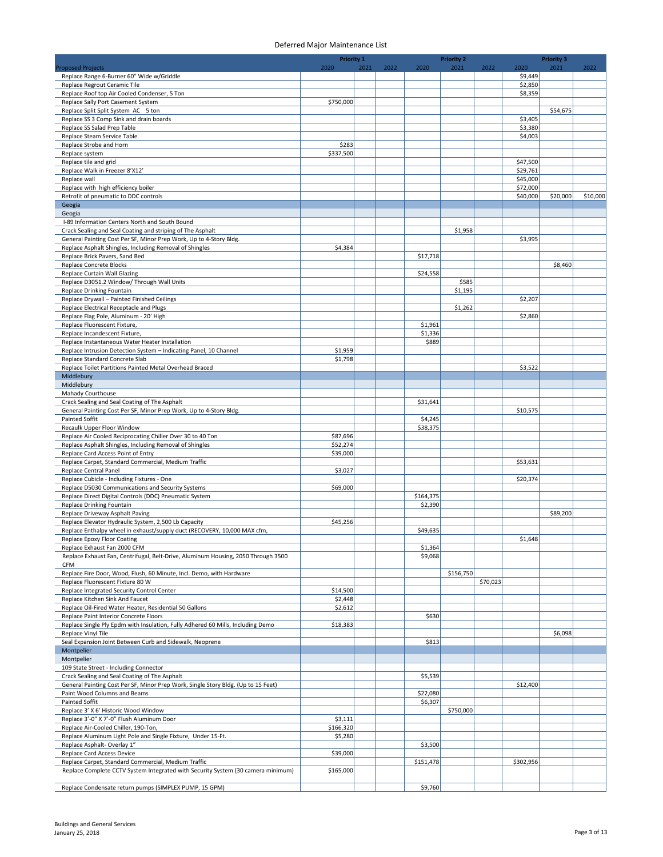|                                                                                                                               | <b>Priority 1</b>    |      |      |                    | <b>Priority 2</b> |          |                      | <b>Priority 3</b> |          |
|-------------------------------------------------------------------------------------------------------------------------------|----------------------|------|------|--------------------|-------------------|----------|----------------------|-------------------|----------|
| <b>Proposed Projects</b>                                                                                                      | 2020                 | 2021 | 2022 | 2020               | 2021              | 2022     | 2020                 | 2021              | 2022     |
| Replace Range 6-Burner 60" Wide w/Griddle<br>Replace Regrout Ceramic Tile                                                     |                      |      |      |                    |                   |          | \$9,449<br>\$2,850   |                   |          |
| Replace Roof top Air Cooled Condenser, 5 Ton                                                                                  |                      |      |      |                    |                   |          | \$8,359              |                   |          |
| Replace Sally Port Casement System                                                                                            | \$750,000            |      |      |                    |                   |          |                      |                   |          |
| Replace Split Split System AC 5 ton                                                                                           |                      |      |      |                    |                   |          |                      | \$54,675          |          |
| Replace SS 3 Comp Sink and drain boards                                                                                       |                      |      |      |                    |                   |          | \$3,405              |                   |          |
| Replace SS Salad Prep Table<br>Replace Steam Service Table                                                                    |                      |      |      |                    |                   |          | \$3,380<br>\$4,003   |                   |          |
| Replace Strobe and Horn                                                                                                       | \$283                |      |      |                    |                   |          |                      |                   |          |
| Replace system                                                                                                                | \$337,500            |      |      |                    |                   |          |                      |                   |          |
| Replace tile and grid                                                                                                         |                      |      |      |                    |                   |          | \$47,500             |                   |          |
| Replace Walk in Freezer 8'X12'                                                                                                |                      |      |      |                    |                   |          | \$29,761             |                   |          |
| Replace wall                                                                                                                  |                      |      |      |                    |                   |          | \$45,000<br>\$72,000 |                   |          |
| Replace with high efficiency boiler<br>Retrofit of pneumatic to DDC controls                                                  |                      |      |      |                    |                   |          | \$40,000             | \$20,000          | \$10,000 |
| Geogia                                                                                                                        |                      |      |      |                    |                   |          |                      |                   |          |
| Geogia                                                                                                                        |                      |      |      |                    |                   |          |                      |                   |          |
| I-89 Information Centers North and South Bound                                                                                |                      |      |      |                    |                   |          |                      |                   |          |
| Crack Sealing and Seal Coating and striping of The Asphalt                                                                    |                      |      |      |                    | \$1,958           |          |                      |                   |          |
| General Painting Cost Per SF, Minor Prep Work, Up to 4-Story Bldg.<br>Replace Asphalt Shingles, Including Removal of Shingles | \$4,384              |      |      |                    |                   |          | \$3,995              |                   |          |
| Replace Brick Pavers, Sand Bed                                                                                                |                      |      |      | \$17,718           |                   |          |                      |                   |          |
| Replace Concrete Blocks                                                                                                       |                      |      |      |                    |                   |          |                      | \$8,460           |          |
| Replace Curtain Wall Glazing                                                                                                  |                      |      |      | \$24,558           |                   |          |                      |                   |          |
| Replace D3051.2 Window/ Through Wall Units                                                                                    |                      |      |      |                    | \$585             |          |                      |                   |          |
| Replace Drinking Fountain                                                                                                     |                      |      |      |                    | \$1,195           |          |                      |                   |          |
| Replace Drywall - Painted Finished Ceilings                                                                                   |                      |      |      |                    |                   |          | \$2,207              |                   |          |
| Replace Electrical Receptacle and Plugs<br>Replace Flag Pole, Aluminum - 20' High                                             |                      |      |      |                    | \$1,262           |          | \$2,860              |                   |          |
| Replace Fluorescent Fixture,                                                                                                  |                      |      |      | \$1,961            |                   |          |                      |                   |          |
| Replace Incandescent Fixture,                                                                                                 |                      |      |      | \$1,336            |                   |          |                      |                   |          |
| Replace Instantaneous Water Heater Installation                                                                               |                      |      |      | \$889              |                   |          |                      |                   |          |
| Replace Intrusion Detection System - Indicating Panel, 10 Channel                                                             | \$1,959              |      |      |                    |                   |          |                      |                   |          |
| Replace Standard Concrete Slab                                                                                                | \$1,798              |      |      |                    |                   |          |                      |                   |          |
| Replace Toilet Partitions Painted Metal Overhead Braced<br>Middlebury                                                         |                      |      |      |                    |                   |          | \$3,522              |                   |          |
| Middlebury                                                                                                                    |                      |      |      |                    |                   |          |                      |                   |          |
| Mahady Courthouse                                                                                                             |                      |      |      |                    |                   |          |                      |                   |          |
| Crack Sealing and Seal Coating of The Asphalt                                                                                 |                      |      |      | \$31,641           |                   |          |                      |                   |          |
| General Painting Cost Per SF, Minor Prep Work, Up to 4-Story Bldg.                                                            |                      |      |      |                    |                   |          | \$10,575             |                   |          |
| Painted Soffit                                                                                                                |                      |      |      | \$4,245            |                   |          |                      |                   |          |
| Recaulk Upper Floor Window<br>Replace Air Cooled Reciprocating Chiller Over 30 to 40 Ton                                      | \$87,696             |      |      | \$38,375           |                   |          |                      |                   |          |
| Replace Asphalt Shingles, Including Removal of Shingles                                                                       | \$52,274             |      |      |                    |                   |          |                      |                   |          |
| Replace Card Access Point of Entry                                                                                            | \$39,000             |      |      |                    |                   |          |                      |                   |          |
| Replace Carpet, Standard Commercial, Medium Traffic                                                                           |                      |      |      |                    |                   |          | \$53,631             |                   |          |
| <b>Replace Central Panel</b>                                                                                                  | \$3,027              |      |      |                    |                   |          |                      |                   |          |
| Replace Cubicle - Including Fixtures - One                                                                                    |                      |      |      |                    |                   |          | \$20,374             |                   |          |
| Replace D5030 Communications and Security Systems<br>Replace Direct Digital Controls (DDC) Pneumatic System                   | \$69,000             |      |      | \$164,375          |                   |          |                      |                   |          |
| Replace Drinking Fountain                                                                                                     |                      |      |      | \$2,390            |                   |          |                      |                   |          |
| Replace Driveway Asphalt Paving                                                                                               |                      |      |      |                    |                   |          |                      | \$89,200          |          |
| Replace Elevator Hydraulic System, 2,500 Lb Capacity                                                                          | \$45,256             |      |      |                    |                   |          |                      |                   |          |
| Replace Enthalpy wheel in exhaust/supply duct (RECOVERY, 10,000 MAX cfm,                                                      |                      |      |      | \$49,635           |                   |          |                      |                   |          |
| Replace Epoxy Floor Coating                                                                                                   |                      |      |      |                    |                   |          | \$1,648              |                   |          |
| Replace Exhaust Fan 2000 CFM<br>Replace Exhaust Fan, Centrifugal, Belt-Drive, Aluminum Housing, 2050 Through 3500             |                      |      |      | \$1,364<br>\$9,068 |                   |          |                      |                   |          |
| <b>CFM</b>                                                                                                                    |                      |      |      |                    |                   |          |                      |                   |          |
| Replace Fire Door, Wood, Flush, 60 Minute, Incl. Demo, with Hardware                                                          |                      |      |      |                    | \$156,750         |          |                      |                   |          |
| Replace Fluorescent Fixture 80 W                                                                                              |                      |      |      |                    |                   | \$70,023 |                      |                   |          |
| Replace Integrated Security Control Center                                                                                    | \$14,500             |      |      |                    |                   |          |                      |                   |          |
| Replace Kitchen Sink And Faucet<br>Replace Oil-Fired Water Heater, Residential 50 Gallons                                     | \$2,448<br>\$2,612   |      |      |                    |                   |          |                      |                   |          |
| Replace Paint Interior Concrete Floors                                                                                        |                      |      |      | \$630              |                   |          |                      |                   |          |
| Replace Single Ply Epdm with Insulation, Fully Adhered 60 Mills, Including Demo                                               | \$18,383             |      |      |                    |                   |          |                      |                   |          |
| Replace Vinyl Tile                                                                                                            |                      |      |      |                    |                   |          |                      | \$6,098           |          |
| Seal Expansion Joint Between Curb and Sidewalk, Neoprene                                                                      |                      |      |      | \$813              |                   |          |                      |                   |          |
| Montpelier                                                                                                                    |                      |      |      |                    |                   |          |                      |                   |          |
| Montpelier<br>109 State Street - Including Connector                                                                          |                      |      |      |                    |                   |          |                      |                   |          |
| Crack Sealing and Seal Coating of The Asphalt                                                                                 |                      |      |      | \$5,539            |                   |          |                      |                   |          |
| General Painting Cost Per SF, Minor Prep Work, Single Story Bldg. (Up to 15 Feet)                                             |                      |      |      |                    |                   |          | \$12,400             |                   |          |
| Paint Wood Columns and Beams                                                                                                  |                      |      |      | \$22,080           |                   |          |                      |                   |          |
| Painted Soffit                                                                                                                |                      |      |      | \$6,307            |                   |          |                      |                   |          |
| Replace 3' X 6' Historic Wood Window                                                                                          |                      |      |      |                    | \$750,000         |          |                      |                   |          |
| Replace 3'-0" X 7'-0" Flush Aluminum Door<br>Replace Air-Cooled Chiller, 190-Ton,                                             | \$3,111<br>\$166,320 |      |      |                    |                   |          |                      |                   |          |
| Replace Aluminum Light Pole and Single Fixture, Under 15-Ft.                                                                  | \$5,280              |      |      |                    |                   |          |                      |                   |          |
| Replace Asphalt- Overlay 1"                                                                                                   |                      |      |      | \$3,500            |                   |          |                      |                   |          |
| <b>Replace Card Access Device</b>                                                                                             | \$39,000             |      |      |                    |                   |          |                      |                   |          |
| Replace Carpet, Standard Commercial, Medium Traffic                                                                           |                      |      |      | \$151,478          |                   |          | \$302,956            |                   |          |
| Replace Complete CCTV System Integrated with Security System (30 camera minimum)                                              | \$165,000            |      |      |                    |                   |          |                      |                   |          |
| Replace Condensate return pumps (SIMPLEX PUMP, 15 GPM)                                                                        |                      |      |      | \$9,760            |                   |          |                      |                   |          |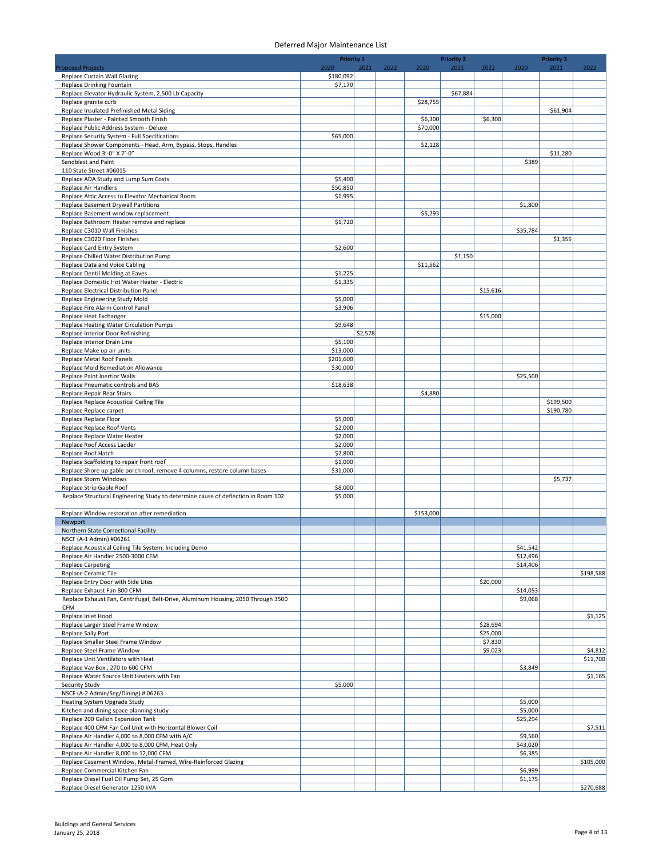|                                                                                                           | <b>Priority 1</b>   |         |      |           | <b>Priority 2</b> |          |                     | <b>Priority 3</b> |                     |
|-----------------------------------------------------------------------------------------------------------|---------------------|---------|------|-----------|-------------------|----------|---------------------|-------------------|---------------------|
| <b>Proposed Projects</b><br>Replace Curtain Wall Glazing                                                  | 2020<br>\$180,092   | 2021    | 2022 | 2020      | 2021              | 2022     | 2020                | 2021              | 2022                |
| Replace Drinking Fountain                                                                                 | \$7,170             |         |      |           |                   |          |                     |                   |                     |
| Replace Elevator Hydraulic System, 2,500 Lb Capacity                                                      |                     |         |      |           | \$67,884          |          |                     |                   |                     |
| Replace granite curb                                                                                      |                     |         |      | \$28,755  |                   |          |                     |                   |                     |
| Replace Insulated Prefinished Metal Siding<br>Replace Plaster - Painted Smooth Finish                     |                     |         |      | \$6,300   |                   | \$6,300  |                     | \$61,904          |                     |
| Replace Public Address System - Deluxe                                                                    |                     |         |      | \$70,000  |                   |          |                     |                   |                     |
| Replace Security System - Full Specifications                                                             | \$65,000            |         |      |           |                   |          |                     |                   |                     |
| Replace Shower Components - Head, Arm, Bypass, Stops, Handles                                             |                     |         |      | \$2,128   |                   |          |                     |                   |                     |
| Replace Wood 3'-0" X 7'-0"<br>Sandblast and Paint                                                         |                     |         |      |           |                   |          | \$389               | \$11,280          |                     |
| 110 State Street #06015                                                                                   |                     |         |      |           |                   |          |                     |                   |                     |
| Replace ADA Study and Lump Sum Costs                                                                      | \$5,400             |         |      |           |                   |          |                     |                   |                     |
| Replace Air Handlers                                                                                      | \$50,850            |         |      |           |                   |          |                     |                   |                     |
| Replace Attic Access to Elevator Mechanical Room                                                          | \$1,995             |         |      |           |                   |          |                     |                   |                     |
| Replace Basement Drywall Partitions<br>Replace Basement window replacement                                |                     |         |      | \$5,293   |                   |          | \$1,800             |                   |                     |
| Replace Bathroom Heater remove and replace                                                                | \$1,720             |         |      |           |                   |          |                     |                   |                     |
| Replace C3010 Wall Finishes                                                                               |                     |         |      |           |                   |          | \$35,784            |                   |                     |
| Replace C3020 Floor Finishes                                                                              |                     |         |      |           |                   |          |                     | \$1,355           |                     |
| Replace Card Entry System<br>Replace Chilled Water Distribution Pump                                      | \$2,600             |         |      |           | \$1,150           |          |                     |                   |                     |
| Replace Data and Voice Cabling                                                                            |                     |         |      | \$11,562  |                   |          |                     |                   |                     |
| Replace Dentil Molding at Eaves                                                                           | \$1,225             |         |      |           |                   |          |                     |                   |                     |
| Replace Domestic Hot Water Heater - Electric                                                              | \$1,335             |         |      |           |                   |          |                     |                   |                     |
| Replace Electrical Distribution Panel<br>Replace Engineering Study Mold                                   | \$5,000             |         |      |           |                   | \$15,616 |                     |                   |                     |
| Replace Fire Alarm Control Panel                                                                          | \$3,906             |         |      |           |                   |          |                     |                   |                     |
| Replace Heat Exchanger                                                                                    |                     |         |      |           |                   | \$15,000 |                     |                   |                     |
| Replace Heating Water Circulation Pumps                                                                   | \$9,648             |         |      |           |                   |          |                     |                   |                     |
| Replace Interior Door Refinishing                                                                         |                     | \$2,578 |      |           |                   |          |                     |                   |                     |
| Replace Interior Drain Line<br>Replace Make up air units                                                  | \$5,100<br>\$13,000 |         |      |           |                   |          |                     |                   |                     |
| Replace Metal Roof Panels                                                                                 | \$201,600           |         |      |           |                   |          |                     |                   |                     |
| Replace Mold Remediation Allowance                                                                        | \$30,000            |         |      |           |                   |          |                     |                   |                     |
| Replace Paint Inertior Walls                                                                              |                     |         |      |           |                   |          | \$25,500            |                   |                     |
| Replace Pneumatic controls and BAS<br>Replace Repair Rear Stairs                                          | \$18,638            |         |      | \$4,880   |                   |          |                     |                   |                     |
| Replace Replace Acoustical Ceiling Tile                                                                   |                     |         |      |           |                   |          |                     | \$199,500         |                     |
| Replace Replace carpet                                                                                    |                     |         |      |           |                   |          |                     | \$190,780         |                     |
| Replace Replace Floor                                                                                     | \$5,000             |         |      |           |                   |          |                     |                   |                     |
| Replace Replace Roof Vents<br>Replace Replace Water Heater                                                | \$2,000<br>\$2,000  |         |      |           |                   |          |                     |                   |                     |
| Replace Roof Access Ladder                                                                                | \$2,000             |         |      |           |                   |          |                     |                   |                     |
| Replace Roof Hatch                                                                                        | \$2,800             |         |      |           |                   |          |                     |                   |                     |
| Replace Scaffolding to repair front roof                                                                  | \$1,000             |         |      |           |                   |          |                     |                   |                     |
| Replace Shore up gable porch roof, remove 4 columns, restore column bases<br><b>Replace Storm Windows</b> | \$31,000            |         |      |           |                   |          |                     | \$5,737           |                     |
| Replace Strip Gable Roof                                                                                  | \$8,000             |         |      |           |                   |          |                     |                   |                     |
| Replace Structural Engineering Study to determine cause of deflection in Room 102                         | \$5,000             |         |      |           |                   |          |                     |                   |                     |
|                                                                                                           |                     |         |      |           |                   |          |                     |                   |                     |
| Replace Window restoration after remediation                                                              |                     |         |      | \$153,000 |                   |          |                     |                   |                     |
| Newport<br>Northern State Correctional Facility                                                           |                     |         |      |           |                   |          |                     |                   |                     |
| NSCF (A-1 Admin) #06261                                                                                   |                     |         |      |           |                   |          |                     |                   |                     |
| Replace Acoustical Ceiling Tile System, Including Demo                                                    |                     |         |      |           |                   |          | \$41,542            |                   |                     |
| Replace Air Handler 2500-3000 CFM                                                                         |                     |         |      |           |                   |          | \$12,496            |                   |                     |
| <b>Replace Carpeting</b><br>Replace Ceramic Tile                                                          |                     |         |      |           |                   |          | \$14,406            |                   | \$198,588           |
| Replace Entry Door with Side Lites                                                                        |                     |         |      |           |                   | \$20,000 |                     |                   |                     |
| Replace Exhaust Fan 800 CFM                                                                               |                     |         |      |           |                   |          | \$14,053            |                   |                     |
| Replace Exhaust Fan, Centrifugal, Belt-Drive, Aluminum Housing, 2050 Through 3500                         |                     |         |      |           |                   |          | \$9,068             |                   |                     |
| <b>CFM</b><br>Replace Inlet Hood                                                                          |                     |         |      |           |                   |          |                     |                   | \$1,125             |
| Replace Larger Steel Frame Window                                                                         |                     |         |      |           |                   | \$28,694 |                     |                   |                     |
| Replace Sally Port                                                                                        |                     |         |      |           |                   | \$25,000 |                     |                   |                     |
| Replace Smaller Steel Frame Window                                                                        |                     |         |      |           |                   | \$7,830  |                     |                   |                     |
| Replace Steel Frame Window<br>Replace Unit Ventilators with Heat                                          |                     |         |      |           |                   | \$9,023  |                     |                   | \$4,812<br>\$11,700 |
| Replace Vav Box, 270 to 600 CFM                                                                           |                     |         |      |           |                   |          | \$3,849             |                   |                     |
| Replace Water Source Unit Heaters with Fan                                                                |                     |         |      |           |                   |          |                     |                   | \$1,165             |
| <b>Security Study</b>                                                                                     | \$5,000             |         |      |           |                   |          |                     |                   |                     |
| NSCF (A-2 Admin/Seg/Dining) # 06263<br>Heating System Upgrade Study                                       |                     |         |      |           |                   |          | \$5,000             |                   |                     |
| Kitchen and dining space planning study                                                                   |                     |         |      |           |                   |          | \$5,000             |                   |                     |
| Replace 200 Gallon Expansion Tank                                                                         |                     |         |      |           |                   |          | \$25,294            |                   |                     |
| Replace 400 CFM Fan Coil Unit with Horizontal Blower Coil                                                 |                     |         |      |           |                   |          |                     |                   | \$7,511             |
| Replace Air Handler 4,000 to 8,000 CFM with A/C                                                           |                     |         |      |           |                   |          | \$9,560             |                   |                     |
| Replace Air Handler 4,000 to 8,000 CFM, Heat Only<br>Replace Air Handler 8,000 to 12,000 CFM              |                     |         |      |           |                   |          | \$43,020<br>\$6,385 |                   |                     |
| Replace Casement Window, Metal-Framed, Wire-Reinforced Glazing                                            |                     |         |      |           |                   |          |                     |                   | \$105,000           |
| Replace Commercial Kitchen Fan                                                                            |                     |         |      |           |                   |          | \$6,999             |                   |                     |
| Replace Diesel Fuel Oil Pump Set, 25 Gpm                                                                  |                     |         |      |           |                   |          | \$1,175             |                   |                     |
| Replace Diesel Generator 1250 kVA                                                                         |                     |         |      |           |                   |          |                     |                   | \$270,688           |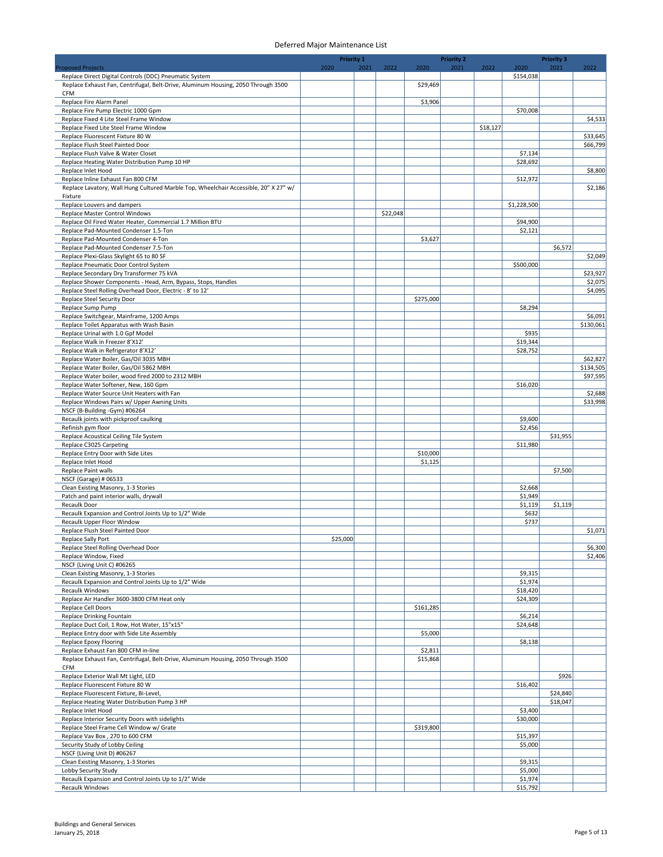|                                                                                                                                             | <b>Priority 1</b> |      |          |           | <b>Priority 2</b> |          |                     | <b>Priority 3</b> |           |
|---------------------------------------------------------------------------------------------------------------------------------------------|-------------------|------|----------|-----------|-------------------|----------|---------------------|-------------------|-----------|
| <b>Proposed Projects</b>                                                                                                                    | 2020              | 2021 | 2022     | 2020      | 2021              | 2022     | 2020                | 2021              | 2022      |
| Replace Direct Digital Controls (DDC) Pneumatic System<br>Replace Exhaust Fan, Centrifugal, Belt-Drive, Aluminum Housing, 2050 Through 3500 |                   |      |          | \$29,469  |                   |          | \$154,038           |                   |           |
| <b>CFM</b>                                                                                                                                  |                   |      |          |           |                   |          |                     |                   |           |
| Replace Fire Alarm Panel                                                                                                                    |                   |      |          | \$3,906   |                   |          |                     |                   |           |
| Replace Fire Pump Electric 1000 Gpm                                                                                                         |                   |      |          |           |                   |          | \$70,008            |                   |           |
| Replace Fixed 4 Lite Steel Frame Window<br>Replace Fixed Lite Steel Frame Window                                                            |                   |      |          |           |                   | \$18,127 |                     |                   | \$4,533   |
| Replace Fluorescent Fixture 80 W                                                                                                            |                   |      |          |           |                   |          |                     |                   | \$33,645  |
| Replace Flush Steel Painted Door                                                                                                            |                   |      |          |           |                   |          |                     |                   | \$66,799  |
| Replace Flush Valve & Water Closet                                                                                                          |                   |      |          |           |                   |          | \$7,134             |                   |           |
| Replace Heating Water Distribution Pump 10 HP<br>Replace Inlet Hood                                                                         |                   |      |          |           |                   |          | \$28,692            |                   | \$8,800   |
| Replace Inline Exhaust Fan 800 CFM                                                                                                          |                   |      |          |           |                   |          | \$12,972            |                   |           |
| Replace Lavatory, Wall Hung Cultured Marble Top, Wheelchair Accessible, 20" X 27" w/                                                        |                   |      |          |           |                   |          |                     |                   | \$2,186   |
| Fixture                                                                                                                                     |                   |      |          |           |                   |          |                     |                   |           |
| Replace Louvers and dampers                                                                                                                 |                   |      | \$22,048 |           |                   |          | \$1,228,500         |                   |           |
| Replace Master Control Windows<br>Replace Oil Fired Water Heater, Commercial 1.7 Million BTU                                                |                   |      |          |           |                   |          | \$94,900            |                   |           |
| Replace Pad-Mounted Condenser 1.5-Ton                                                                                                       |                   |      |          |           |                   |          | \$2,121             |                   |           |
| Replace Pad-Mounted Condenser 4-Ton                                                                                                         |                   |      |          | \$3,627   |                   |          |                     |                   |           |
| Replace Pad-Mounted Condenser 7.5-Ton                                                                                                       |                   |      |          |           |                   |          |                     | \$6,572           |           |
| Replace Plexi-Glass Skylight 65 to 80 SF<br>Replace Pneumatic Door Control System                                                           |                   |      |          |           |                   |          | \$500,000           |                   | \$2,049   |
| Replace Secondary Dry Transformer 75 kVA                                                                                                    |                   |      |          |           |                   |          |                     |                   | \$23,927  |
| Replace Shower Components - Head, Arm, Bypass, Stops, Handles                                                                               |                   |      |          |           |                   |          |                     |                   | \$2,075   |
| Replace Steel Rolling Overhead Door, Electric - 8' to 12'                                                                                   |                   |      |          |           |                   |          |                     |                   | \$4,095   |
| Replace Steel Security Door                                                                                                                 |                   |      |          | \$275,000 |                   |          |                     |                   |           |
| Replace Sump Pump<br>Replace Switchgear, Mainframe, 1200 Amps                                                                               |                   |      |          |           |                   |          | \$8,294             |                   | \$6,091   |
| Replace Toilet Apparatus with Wash Basin                                                                                                    |                   |      |          |           |                   |          |                     |                   | \$130,061 |
| Replace Urinal with 1.0 Gpf Model                                                                                                           |                   |      |          |           |                   |          | \$935               |                   |           |
| Replace Walk in Freezer 8'X12'                                                                                                              |                   |      |          |           |                   |          | \$19,344            |                   |           |
| Replace Walk in Refrigerator 8'X12'<br>Replace Water Boiler, Gas/Oil 3035 MBH                                                               |                   |      |          |           |                   |          | \$28,752            |                   | \$62,827  |
| Replace Water Boiler, Gas/Oil 5862 MBH                                                                                                      |                   |      |          |           |                   |          |                     |                   | \$134,505 |
| Replace Water boiler, wood fired 2000 to 2312 MBH                                                                                           |                   |      |          |           |                   |          |                     |                   | \$97,595  |
| Replace Water Softener, New, 160 Gpm                                                                                                        |                   |      |          |           |                   |          | \$16,020            |                   |           |
| Replace Water Source Unit Heaters with Fan                                                                                                  |                   |      |          |           |                   |          |                     |                   | \$2,688   |
| Replace Windows Pairs w/ Upper Awning Units<br>NSCF (B-Building -Gym) #06264                                                                |                   |      |          |           |                   |          |                     |                   | \$33,998  |
| Recaulk joints with pickproof caulking                                                                                                      |                   |      |          |           |                   |          | \$9,600             |                   |           |
| Refinish gym floor                                                                                                                          |                   |      |          |           |                   |          | \$2,456             |                   |           |
| Replace Acoustical Ceiling Tile System                                                                                                      |                   |      |          |           |                   |          |                     | \$31,955          |           |
| Replace C3025 Carpeting<br>Replace Entry Door with Side Lites                                                                               |                   |      |          | \$10,000  |                   |          | \$11,980            |                   |           |
| Replace Inlet Hood                                                                                                                          |                   |      |          | \$1,125   |                   |          |                     |                   |           |
| Replace Paint walls                                                                                                                         |                   |      |          |           |                   |          |                     | \$7,500           |           |
| NSCF (Garage) # 06533                                                                                                                       |                   |      |          |           |                   |          |                     |                   |           |
| Clean Existing Masonry, 1-3 Stories                                                                                                         |                   |      |          |           |                   |          | \$2,668             |                   |           |
| Patch and paint interior walls, drywall<br>Recaulk Door                                                                                     |                   |      |          |           |                   |          | \$1,949<br>\$1,119  | \$1,119           |           |
| Recaulk Expansion and Control Joints Up to 1/2" Wide                                                                                        |                   |      |          |           |                   |          | \$632               |                   |           |
| Recaulk Upper Floor Window                                                                                                                  |                   |      |          |           |                   |          | \$737               |                   |           |
| Replace Flush Steel Painted Door                                                                                                            |                   |      |          |           |                   |          |                     |                   | \$1,071   |
| Replace Sally Port<br>Replace Steel Rolling Overhead Door                                                                                   | \$25,000          |      |          |           |                   |          |                     |                   | \$6,300   |
| Replace Window, Fixed                                                                                                                       |                   |      |          |           |                   |          |                     |                   | \$2,406   |
| NSCF (Living Unit C) #06265                                                                                                                 |                   |      |          |           |                   |          |                     |                   |           |
| Clean Existing Masonry, 1-3 Stories                                                                                                         |                   |      |          |           |                   |          | \$9,315             |                   |           |
| Recaulk Expansion and Control Joints Up to 1/2" Wide<br>Recaulk Windows                                                                     |                   |      |          |           |                   |          | \$1,974<br>\$18,420 |                   |           |
| Replace Air Handler 3600-3800 CFM Heat only                                                                                                 |                   |      |          |           |                   |          | \$24,309            |                   |           |
| Replace Cell Doors                                                                                                                          |                   |      |          | \$161,285 |                   |          |                     |                   |           |
| Replace Drinking Fountain                                                                                                                   |                   |      |          |           |                   |          | \$6,214             |                   |           |
| Replace Duct Coil, 1 Row, Hot Water, 15"x15"                                                                                                |                   |      |          |           |                   |          | \$24,648            |                   |           |
| Replace Entry door with Side Lite Assembly<br>Replace Epoxy Flooring                                                                        |                   |      |          | \$5,000   |                   |          | \$8,138             |                   |           |
| Replace Exhaust Fan 800 CFM in-line                                                                                                         |                   |      |          | \$2,811   |                   |          |                     |                   |           |
| Replace Exhaust Fan, Centrifugal, Belt-Drive, Aluminum Housing, 2050 Through 3500                                                           |                   |      |          | \$15,868  |                   |          |                     |                   |           |
| CFM                                                                                                                                         |                   |      |          |           |                   |          |                     |                   |           |
| Replace Exterior Wall Mt Light, LED<br>Replace Fluorescent Fixture 80 W                                                                     |                   |      |          |           |                   |          | \$16,402            | \$926             |           |
| Replace Fluorescent Fixture, Bi-Level,                                                                                                      |                   |      |          |           |                   |          |                     | \$24,840          |           |
| Replace Heating Water Distribution Pump 3 HP                                                                                                |                   |      |          |           |                   |          |                     |                   |           |
|                                                                                                                                             |                   |      |          |           |                   |          |                     | \$18,047          |           |
| Replace Inlet Hood                                                                                                                          |                   |      |          |           |                   |          | \$3,400             |                   |           |
| Replace Interior Security Doors with sidelights                                                                                             |                   |      |          |           |                   |          | \$30,000            |                   |           |
| Replace Steel Frame Cell Window w/ Grate                                                                                                    |                   |      |          | \$319,800 |                   |          |                     |                   |           |
| Replace Vav Box, 270 to 600 CFM                                                                                                             |                   |      |          |           |                   |          | \$15,397            |                   |           |
| Security Study of Lobby Ceiling<br>NSCF (Living Unit D) #06267                                                                              |                   |      |          |           |                   |          | \$5,000             |                   |           |
| Clean Existing Masonry, 1-3 Stories                                                                                                         |                   |      |          |           |                   |          | \$9,315             |                   |           |
| Lobby Security Study<br>Recaulk Expansion and Control Joints Up to 1/2" Wide                                                                |                   |      |          |           |                   |          | \$5,000<br>\$1,974  |                   |           |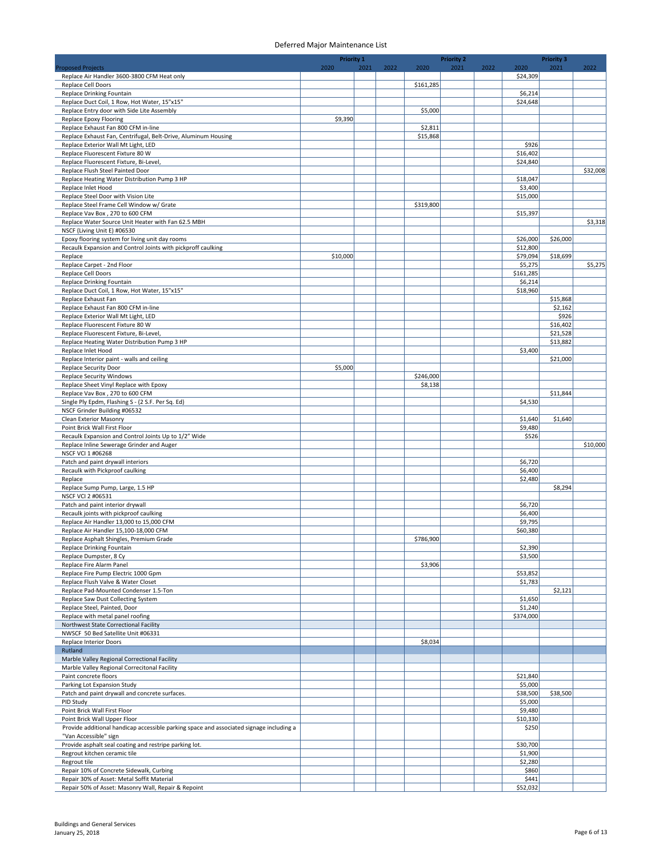|                                                                                                                         | <b>Priority 1</b> |      |      |                     | <b>Priority 2</b> |      |                      | <b>Priority 3</b> |          |
|-------------------------------------------------------------------------------------------------------------------------|-------------------|------|------|---------------------|-------------------|------|----------------------|-------------------|----------|
| <b>Proposed Projects</b>                                                                                                | 2020              | 2021 | 2022 | 2020                | 2021              | 2022 | 2020                 | 2021              | 2022     |
| Replace Air Handler 3600-3800 CFM Heat only<br>Replace Cell Doors                                                       |                   |      |      | \$161,285           |                   |      | \$24,309             |                   |          |
| Replace Drinking Fountain                                                                                               |                   |      |      |                     |                   |      | \$6,214              |                   |          |
| Replace Duct Coil, 1 Row, Hot Water, 15"x15"                                                                            |                   |      |      |                     |                   |      | \$24,648             |                   |          |
| Replace Entry door with Side Lite Assembly                                                                              |                   |      |      | \$5,000             |                   |      |                      |                   |          |
| Replace Epoxy Flooring                                                                                                  | \$9,390           |      |      |                     |                   |      |                      |                   |          |
| Replace Exhaust Fan 800 CFM in-line<br>Replace Exhaust Fan, Centrifugal, Belt-Drive, Aluminum Housing                   |                   |      |      | \$2,811<br>\$15,868 |                   |      |                      |                   |          |
| Replace Exterior Wall Mt Light, LED                                                                                     |                   |      |      |                     |                   |      | \$926                |                   |          |
| Replace Fluorescent Fixture 80 W                                                                                        |                   |      |      |                     |                   |      | \$16,402             |                   |          |
| Replace Fluorescent Fixture, Bi-Level,                                                                                  |                   |      |      |                     |                   |      | \$24,840             |                   |          |
| Replace Flush Steel Painted Door                                                                                        |                   |      |      |                     |                   |      |                      |                   | \$32,008 |
| Replace Heating Water Distribution Pump 3 HP<br>Replace Inlet Hood                                                      |                   |      |      |                     |                   |      | \$18,047<br>\$3,400  |                   |          |
| Replace Steel Door with Vision Lite                                                                                     |                   |      |      |                     |                   |      | \$15,000             |                   |          |
| Replace Steel Frame Cell Window w/ Grate                                                                                |                   |      |      | \$319,800           |                   |      |                      |                   |          |
| Replace Vav Box, 270 to 600 CFM                                                                                         |                   |      |      |                     |                   |      | \$15,397             |                   |          |
| Replace Water Source Unit Heater with Fan 62.5 MBH                                                                      |                   |      |      |                     |                   |      |                      |                   | \$3,318  |
| NSCF (Living Unit E) #06530                                                                                             |                   |      |      |                     |                   |      |                      |                   |          |
| Epoxy flooring system for living unit day rooms<br>Recaulk Expansion and Control Joints with pickproff caulking         |                   |      |      |                     |                   |      | \$26,000<br>\$12,800 | \$26,000          |          |
| Replace                                                                                                                 | \$10,000          |      |      |                     |                   |      | \$79,094             | \$18,699          |          |
| Replace Carpet - 2nd Floor                                                                                              |                   |      |      |                     |                   |      | \$5,275              |                   | \$5,275  |
| Replace Cell Doors                                                                                                      |                   |      |      |                     |                   |      | \$161,285            |                   |          |
| Replace Drinking Fountain                                                                                               |                   |      |      |                     |                   |      | \$6,214              |                   |          |
| Replace Duct Coil, 1 Row, Hot Water, 15"x15"                                                                            |                   |      |      |                     |                   |      | \$18,960             |                   |          |
| Replace Exhaust Fan<br>Replace Exhaust Fan 800 CFM in-line                                                              |                   |      |      |                     |                   |      |                      | \$15,868          |          |
| Replace Exterior Wall Mt Light, LED                                                                                     |                   |      |      |                     |                   |      |                      | \$2,162<br>\$926  |          |
| Replace Fluorescent Fixture 80 W                                                                                        |                   |      |      |                     |                   |      |                      | \$16,402          |          |
| Replace Fluorescent Fixture, Bi-Level,                                                                                  |                   |      |      |                     |                   |      |                      | \$21,528          |          |
| Replace Heating Water Distribution Pump 3 HP                                                                            |                   |      |      |                     |                   |      |                      | \$13,882          |          |
| Replace Inlet Hood                                                                                                      |                   |      |      |                     |                   |      | \$3,400              |                   |          |
| Replace Interior paint - walls and ceiling                                                                              |                   |      |      |                     |                   |      |                      | \$21,000          |          |
| <b>Replace Security Door</b><br><b>Replace Security Windows</b>                                                         | \$5,000           |      |      | \$246,000           |                   |      |                      |                   |          |
| Replace Sheet Vinyl Replace with Epoxy                                                                                  |                   |      |      | \$8,138             |                   |      |                      |                   |          |
| Replace Vav Box, 270 to 600 CFM                                                                                         |                   |      |      |                     |                   |      |                      | \$11,844          |          |
| Single Ply Epdm, Flashing S - (2 S.F. Per Sq. Ed)                                                                       |                   |      |      |                     |                   |      | \$4,530              |                   |          |
| NSCF Grinder Building #06532                                                                                            |                   |      |      |                     |                   |      |                      |                   |          |
| Clean Exterior Masonry                                                                                                  |                   |      |      |                     |                   |      | \$1,640              | \$1,640           |          |
| Point Brick Wall First Floor<br>Recaulk Expansion and Control Joints Up to 1/2" Wide                                    |                   |      |      |                     |                   |      | \$9,480<br>\$526     |                   |          |
| Replace Inline Sewerage Grinder and Auger                                                                               |                   |      |      |                     |                   |      |                      |                   | \$10,000 |
| NSCF VCI 1 #06268                                                                                                       |                   |      |      |                     |                   |      |                      |                   |          |
| Patch and paint drywall interiors                                                                                       |                   |      |      |                     |                   |      | \$6,720              |                   |          |
| Recaulk with Pickproof caulking                                                                                         |                   |      |      |                     |                   |      | \$6,400              |                   |          |
| Replace                                                                                                                 |                   |      |      |                     |                   |      | \$2,480              |                   |          |
| Replace Sump Pump, Large, 1.5 HP<br>NSCF VCI 2 #06531                                                                   |                   |      |      |                     |                   |      |                      | \$8,294           |          |
| Patch and paint interior drywall                                                                                        |                   |      |      |                     |                   |      | \$6,720              |                   |          |
| Recaulk joints with pickproof caulking                                                                                  |                   |      |      |                     |                   |      | \$6,400              |                   |          |
| Replace Air Handler 13,000 to 15,000 CFM                                                                                |                   |      |      |                     |                   |      | \$9,795              |                   |          |
| Replace Air Handler 15,100-18,000 CFM                                                                                   |                   |      |      |                     |                   |      | \$60,380             |                   |          |
| Replace Asphalt Shingles, Premium Grade                                                                                 |                   |      |      | \$786,900           |                   |      |                      |                   |          |
| Replace Drinking Fountain<br>Replace Dumpster, 8 Cy                                                                     |                   |      |      |                     |                   |      | \$2,390<br>\$3,500   |                   |          |
| Replace Fire Alarm Panel                                                                                                |                   |      |      | \$3,906             |                   |      |                      |                   |          |
| Replace Fire Pump Electric 1000 Gpm                                                                                     |                   |      |      |                     |                   |      | \$53,852             |                   |          |
| Replace Flush Valve & Water Closet                                                                                      |                   |      |      |                     |                   |      | \$1,783              |                   |          |
| Replace Pad-Mounted Condenser 1.5-Ton                                                                                   |                   |      |      |                     |                   |      |                      | \$2,121           |          |
| Replace Saw Dust Collecting System<br>Replace Steel, Painted, Door                                                      |                   |      |      |                     |                   |      | \$1,650<br>\$1,240   |                   |          |
| Replace with metal panel roofing                                                                                        |                   |      |      |                     |                   |      | \$374,000            |                   |          |
| Northwest State Correctional Facility                                                                                   |                   |      |      |                     |                   |      |                      |                   |          |
| NWSCF 50 Bed Satellite Unit #06331                                                                                      |                   |      |      |                     |                   |      |                      |                   |          |
| <b>Replace Interior Doors</b>                                                                                           |                   |      |      | \$8,034             |                   |      |                      |                   |          |
| Rutland                                                                                                                 |                   |      |      |                     |                   |      |                      |                   |          |
| Marble Valley Regional Correctional Facility<br>Marble Valley Regional Correcitonal Facility                            |                   |      |      |                     |                   |      |                      |                   |          |
| Paint concrete floors                                                                                                   |                   |      |      |                     |                   |      | \$21,840             |                   |          |
| Parking Lot Expansion Study                                                                                             |                   |      |      |                     |                   |      | \$5,000              |                   |          |
| Patch and paint drywall and concrete surfaces.                                                                          |                   |      |      |                     |                   |      | \$38,500             | \$38,500          |          |
| PID Study                                                                                                               |                   |      |      |                     |                   |      | \$5,000              |                   |          |
| Point Brick Wall First Floor                                                                                            |                   |      |      |                     |                   |      | \$9,480<br>\$10,330  |                   |          |
| Point Brick Wall Upper Floor<br>Provide additional handicap accessible parking space and associated signage including a |                   |      |      |                     |                   |      | \$250                |                   |          |
| "Van Accessible" sign                                                                                                   |                   |      |      |                     |                   |      |                      |                   |          |
| Provide asphalt seal coating and restripe parking lot.                                                                  |                   |      |      |                     |                   |      | \$30,700             |                   |          |
| Regrout kitchen ceramic tile                                                                                            |                   |      |      |                     |                   |      | \$1,900              |                   |          |
| Regrout tile                                                                                                            |                   |      |      |                     |                   |      | \$2,280              |                   |          |
| Repair 10% of Concrete Sidewalk, Curbing<br>Repair 30% of Asset: Metal Soffit Material                                  |                   |      |      |                     |                   |      | \$860<br>\$441       |                   |          |
| Repair 50% of Asset: Masonry Wall, Repair & Repoint                                                                     |                   |      |      |                     |                   |      | \$52,032             |                   |          |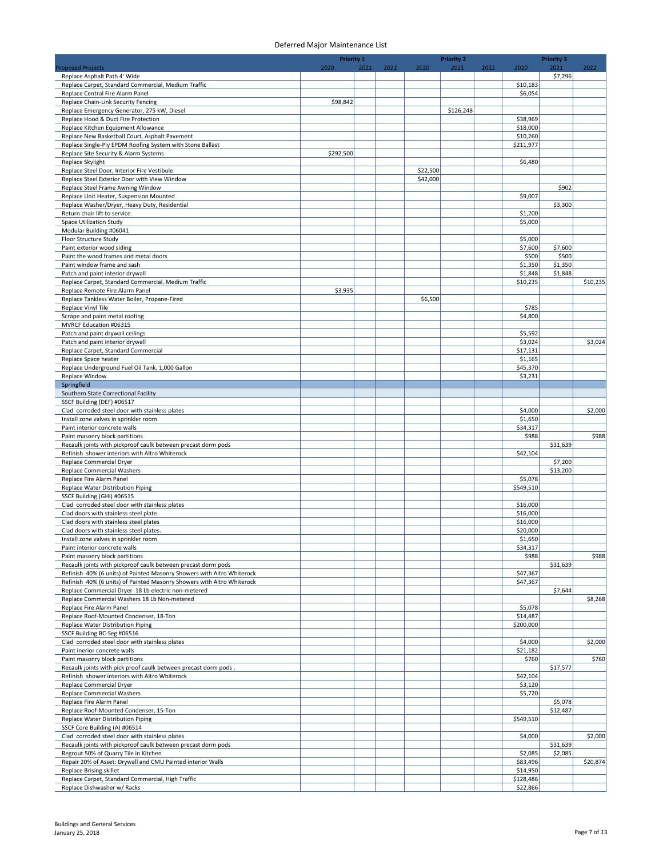|                                                                                                 | <b>Priority 1</b> |      |      |          | <b>Priority 2</b> |      |                      | <b>Priority 3</b> |          |
|-------------------------------------------------------------------------------------------------|-------------------|------|------|----------|-------------------|------|----------------------|-------------------|----------|
| <b>Proposed Projects</b>                                                                        | 2020              | 2021 | 2022 | 2020     | 2021              | 2022 | 2020                 | 2021              | 2022     |
| Replace Asphalt Path 4' Wide<br>Replace Carpet, Standard Commercial, Medium Traffic             |                   |      |      |          |                   |      | \$10,183             | \$7,296           |          |
| Replace Central Fire Alarm Panel                                                                |                   |      |      |          |                   |      | \$6,054              |                   |          |
| Replace Chain-Link Security Fencing                                                             | \$98,842          |      |      |          |                   |      |                      |                   |          |
| Replace Emergency Generator, 275 kW, Diesel                                                     |                   |      |      |          | \$126,248         |      |                      |                   |          |
| Replace Hood & Duct Fire Protection                                                             |                   |      |      |          |                   |      | \$38,969             |                   |          |
| Replace Kitchen Equipment Allowance<br>Replace New Basketball Court, Asphalt Pavement           |                   |      |      |          |                   |      | \$18,000<br>\$10,260 |                   |          |
| Replace Single-Ply EPDM Roofing System with Stone Ballast                                       |                   |      |      |          |                   |      | \$211,977            |                   |          |
| Replace Site Security & Alarm Systems                                                           | \$292,500         |      |      |          |                   |      |                      |                   |          |
| Replace Skylight                                                                                |                   |      |      |          |                   |      | \$6,480              |                   |          |
| Replace Steel Door, Interior Fire Vestibule                                                     |                   |      |      | \$22,500 |                   |      |                      |                   |          |
| Replace Steel Exterior Door with View Window                                                    |                   |      |      | \$42,000 |                   |      |                      |                   |          |
| Replace Steel Frame Awning Window<br>Replace Unit Heater, Suspension Mounted                    |                   |      |      |          |                   |      | \$9,007              | \$902             |          |
| Replace Washer/Dryer, Heavy Duty, Residential                                                   |                   |      |      |          |                   |      |                      | \$3,300           |          |
| Return chair lift to service.                                                                   |                   |      |      |          |                   |      | \$1,200              |                   |          |
| <b>Space Utilization Study</b>                                                                  |                   |      |      |          |                   |      | \$5,000              |                   |          |
| Modular Building #06041                                                                         |                   |      |      |          |                   |      |                      |                   |          |
| Floor Structure Study                                                                           |                   |      |      |          |                   |      | \$5,000              |                   |          |
| Paint exterior wood siding<br>Paint the wood frames and metal doors                             |                   |      |      |          |                   |      | \$7,600<br>\$500     | \$7,600<br>\$500  |          |
| Paint window frame and sash                                                                     |                   |      |      |          |                   |      | \$1,350              | \$1,350           |          |
| Patch and paint interior drywall                                                                |                   |      |      |          |                   |      | \$1,848              | \$1,848           |          |
| Replace Carpet, Standard Commercial, Medium Traffic                                             |                   |      |      |          |                   |      | \$10,235             |                   | \$10,235 |
| Replace Remote Fire Alarm Panel                                                                 | \$3,935           |      |      |          |                   |      |                      |                   |          |
| Replace Tankless Water Boiler, Propane-Fired                                                    |                   |      |      | \$6,500  |                   |      |                      |                   |          |
| Replace Vinyl Tile                                                                              |                   |      |      |          |                   |      | \$785                |                   |          |
| Scrape and paint metal roofing<br>MVRCF Education #06315                                        |                   |      |      |          |                   |      | \$4,800              |                   |          |
| Patch and paint drywall ceilings                                                                |                   |      |      |          |                   |      | \$5,592              |                   |          |
| Patch and paint interior drywall                                                                |                   |      |      |          |                   |      | \$3,024              |                   | \$3,024  |
| Replace Carpet, Standard Commercial                                                             |                   |      |      |          |                   |      | \$17,131             |                   |          |
| Replace Space heater                                                                            |                   |      |      |          |                   |      | \$1,165              |                   |          |
| Replace Underground Fuel Oil Tank, 1,000 Gallon                                                 |                   |      |      |          |                   |      | \$45,370             |                   |          |
| Replace Window<br>Springfield                                                                   |                   |      |      |          |                   |      | \$3,231              |                   |          |
| Southern State Correctional Facility                                                            |                   |      |      |          |                   |      |                      |                   |          |
| SSCF Building (DEF) #06517                                                                      |                   |      |      |          |                   |      |                      |                   |          |
| Clad corroded steel door with stainless plates                                                  |                   |      |      |          |                   |      | \$4,000              |                   | \$2,000  |
| Install zone valves in sprinkler room                                                           |                   |      |      |          |                   |      | \$1,650              |                   |          |
| Paint interior concrete walls                                                                   |                   |      |      |          |                   |      | \$34,317             |                   |          |
| Paint masonry block partitions<br>Recaulk joints with pickproof caulk between precast dorm pods |                   |      |      |          |                   |      | \$988                | \$31,639          | \$988    |
| Refinish shower interiors with Altro Whiterock                                                  |                   |      |      |          |                   |      | \$42,104             |                   |          |
| Replace Commercial Dryer                                                                        |                   |      |      |          |                   |      |                      | \$7,200           |          |
| <b>Replace Commercial Washers</b>                                                               |                   |      |      |          |                   |      |                      | \$13,200          |          |
| Replace Fire Alarm Panel                                                                        |                   |      |      |          |                   |      | \$5,078              |                   |          |
| Replace Water Distribution Piping                                                               |                   |      |      |          |                   |      | \$549,510            |                   |          |
| SSCF Building (GHI) #06515<br>Clad corroded steel door with stainless plates                    |                   |      |      |          |                   |      | \$16,000             |                   |          |
| Clad doors with stainless steel plate                                                           |                   |      |      |          |                   |      | \$16,000             |                   |          |
| Clad doors with stainless steel plates                                                          |                   |      |      |          |                   |      | \$16,000             |                   |          |
| Clad doors with stainless steel plates.                                                         |                   |      |      |          |                   |      | \$20,000             |                   |          |
| Install zone valves in sprinkler room                                                           |                   |      |      |          |                   |      | \$1,650              |                   |          |
| Paint interior concrete walls                                                                   |                   |      |      |          |                   |      | \$34,317             |                   |          |
| Paint masonry block partitions<br>Recaulk joints with pickproof caulk between precast dorm pods |                   |      |      |          |                   |      | \$988                | \$31,639          | \$988    |
| Refinish 40% (6 units) of Painted Masonry Showers with Altro Whiterock                          |                   |      |      |          |                   |      | \$47,367             |                   |          |
| Refinish 40% (6 units) of Painted Masonry Showers with Altro Whiterock                          |                   |      |      |          |                   |      | \$47,367             |                   |          |
| Replace Commercial Dryer 18 Lb electric non-metered                                             |                   |      |      |          |                   |      |                      | \$7,644           |          |
| Replace Commercial Washers 18 Lb Non-metered                                                    |                   |      |      |          |                   |      |                      |                   | \$8,268  |
| Replace Fire Alarm Panel<br>Replace Roof-Mounted Condenser, 18-Ton                              |                   |      |      |          |                   |      | \$5,078<br>\$14,487  |                   |          |
| Replace Water Distribution Piping                                                               |                   |      |      |          |                   |      | \$200,000            |                   |          |
| SSCF Building BC-Seg #06516                                                                     |                   |      |      |          |                   |      |                      |                   |          |
| Clad corroded steel door with stainless plates                                                  |                   |      |      |          |                   |      | \$4,000              |                   | \$2,000  |
| Paint inerior concrete walls                                                                    |                   |      |      |          |                   |      | \$21,182             |                   |          |
| Paint masonry block partitions                                                                  |                   |      |      |          |                   |      | \$760                |                   | \$760    |
| Recaulk joints with pick proof caulk between precast dorm pods.                                 |                   |      |      |          |                   |      |                      | \$17,577          |          |
| Refinish shower interiors with Altro Whiterock<br>Replace Commercial Dryer                      |                   |      |      |          |                   |      | \$42,104<br>\$3,120  |                   |          |
| <b>Replace Commercial Washers</b>                                                               |                   |      |      |          |                   |      | \$5,720              |                   |          |
| Replace Fire Alarm Panel                                                                        |                   |      |      |          |                   |      |                      | \$5,078           |          |
| Replace Roof-Mounted Condenser, 15-Ton                                                          |                   |      |      |          |                   |      |                      | \$12,487          |          |
| Replace Water Distribution Piping                                                               |                   |      |      |          |                   |      | \$549,510            |                   |          |
| SSCF Core Building (A) #06514<br>Clad corroded steel door with stainless plates                 |                   |      |      |          |                   |      | \$4,000              |                   | \$2,000  |
| Recaulk joints with pickproof caulk between precast dorm pods                                   |                   |      |      |          |                   |      |                      | \$31,639          |          |
| Regrout 50% of Quarry Tile in Kitchen                                                           |                   |      |      |          |                   |      | \$2,085              | \$2,085           |          |
| Repair 20% of Asset: Drywall and CMU Painted interior Walls                                     |                   |      |      |          |                   |      | \$83,496             |                   | \$20,874 |
| Replace Brising skillet                                                                         |                   |      |      |          |                   |      | \$14,950             |                   |          |
| Replace Carpet, Standard Commercial, High Traffic                                               |                   |      |      |          |                   |      | \$128,486            |                   |          |
| Replace Dishwasher w/ Racks                                                                     |                   |      |      |          |                   |      | \$22,866             |                   |          |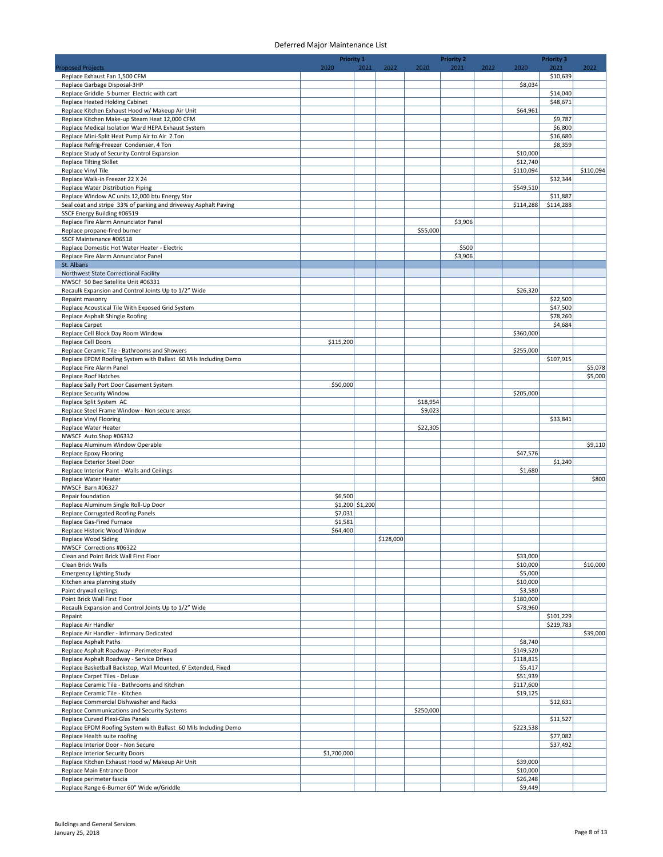|                                                                                                                   | <b>Priority 1</b>          |      |           |           | <b>Priority 2</b> |      |                      | <b>Priority 3</b>     |           |
|-------------------------------------------------------------------------------------------------------------------|----------------------------|------|-----------|-----------|-------------------|------|----------------------|-----------------------|-----------|
| <b>Proposed Projects</b><br>Replace Exhaust Fan 1,500 CFM                                                         | 2020                       | 2021 | 2022      | 2020      | 2021              | 2022 | 2020                 | 2021<br>\$10,639      | 2022      |
| Replace Garbage Disposal-3HP                                                                                      |                            |      |           |           |                   |      | \$8,034              |                       |           |
| Replace Griddle 5 burner Electric with cart                                                                       |                            |      |           |           |                   |      |                      | \$14,040              |           |
| Replace Heated Holding Cabinet                                                                                    |                            |      |           |           |                   |      |                      | \$48,671              |           |
| Replace Kitchen Exhaust Hood w/ Makeup Air Unit<br>Replace Kitchen Make-up Steam Heat 12,000 CFM                  |                            |      |           |           |                   |      | \$64,961             | \$9,787               |           |
| Replace Medical Isolation Ward HEPA Exhaust System                                                                |                            |      |           |           |                   |      |                      | \$6,800               |           |
| Replace Mini-Split Heat Pump Air to Air 2 Ton                                                                     |                            |      |           |           |                   |      |                      | \$16,680              |           |
| Replace Refrig-Freezer Condenser, 4 Ton                                                                           |                            |      |           |           |                   |      |                      | \$8,359               |           |
| Replace Study of Security Control Expansion<br>Replace Tilting Skillet                                            |                            |      |           |           |                   |      | \$10,000<br>\$12,740 |                       |           |
| Replace Vinyl Tile                                                                                                |                            |      |           |           |                   |      | \$110,094            |                       | \$110,094 |
| Replace Walk-in Freezer 22 X 24                                                                                   |                            |      |           |           |                   |      |                      | \$32,344              |           |
| Replace Water Distribution Piping                                                                                 |                            |      |           |           |                   |      | \$549,510            |                       |           |
| Replace Window AC units 12,000 btu Energy Star<br>Seal coat and stripe 33% of parking and driveway Asphalt Paving |                            |      |           |           |                   |      | \$114,288            | \$11,887<br>\$114,288 |           |
| SSCF Energy Building #06519                                                                                       |                            |      |           |           |                   |      |                      |                       |           |
| Replace Fire Alarm Annunciator Panel                                                                              |                            |      |           |           | \$3,906           |      |                      |                       |           |
| Replace propane-fired burner                                                                                      |                            |      |           | \$55,000  |                   |      |                      |                       |           |
| SSCF Maintenance #06518<br>Replace Domestic Hot Water Heater - Electric                                           |                            |      |           |           | \$500             |      |                      |                       |           |
| Replace Fire Alarm Annunciator Panel                                                                              |                            |      |           |           | \$3,906           |      |                      |                       |           |
| St. Albans                                                                                                        |                            |      |           |           |                   |      |                      |                       |           |
| Northwest State Correctional Facility                                                                             |                            |      |           |           |                   |      |                      |                       |           |
| NWSCF 50 Bed Satellite Unit #06331<br>Recaulk Expansion and Control Joints Up to 1/2" Wide                        |                            |      |           |           |                   |      | \$26,320             |                       |           |
| Repaint masonry                                                                                                   |                            |      |           |           |                   |      |                      | \$22,500              |           |
| Replace Acoustical Tile With Exposed Grid System                                                                  |                            |      |           |           |                   |      |                      | \$47,500              |           |
| Replace Asphalt Shingle Roofing                                                                                   |                            |      |           |           |                   |      |                      | \$78,260              |           |
| <b>Replace Carpet</b><br>Replace Cell Block Day Room Window                                                       |                            |      |           |           |                   |      |                      | \$4,684               |           |
| Replace Cell Doors                                                                                                | \$115,200                  |      |           |           |                   |      | \$360,000            |                       |           |
| Replace Ceramic Tile - Bathrooms and Showers                                                                      |                            |      |           |           |                   |      | \$255,000            |                       |           |
| Replace EPDM Roofing System with Ballast 60 Mils Including Demo                                                   |                            |      |           |           |                   |      |                      | \$107,915             |           |
| Replace Fire Alarm Panel                                                                                          |                            |      |           |           |                   |      |                      |                       | \$5,078   |
| Replace Roof Hatches<br>Replace Sally Port Door Casement System                                                   | \$50,000                   |      |           |           |                   |      |                      |                       | \$5,000   |
| Replace Security Window                                                                                           |                            |      |           |           |                   |      | \$205,000            |                       |           |
| Replace Split System AC                                                                                           |                            |      |           | \$18,954  |                   |      |                      |                       |           |
| Replace Steel Frame Window - Non secure areas                                                                     |                            |      |           | \$9,023   |                   |      |                      |                       |           |
| Replace Vinyl Flooring<br>Replace Water Heater                                                                    |                            |      |           | \$22,305  |                   |      |                      | \$33,841              |           |
| NWSCF Auto Shop #06332                                                                                            |                            |      |           |           |                   |      |                      |                       |           |
| Replace Aluminum Window Operable                                                                                  |                            |      |           |           |                   |      |                      |                       | \$9,110   |
| Replace Epoxy Flooring                                                                                            |                            |      |           |           |                   |      | \$47,576             |                       |           |
| Replace Exterior Steel Door<br>Replace Interior Paint - Walls and Ceilings                                        |                            |      |           |           |                   |      | \$1,680              | \$1,240               |           |
| Replace Water Heater                                                                                              |                            |      |           |           |                   |      |                      |                       | \$800     |
| NWSCF Barn #06327                                                                                                 |                            |      |           |           |                   |      |                      |                       |           |
| Repair foundation                                                                                                 | \$6,500                    |      |           |           |                   |      |                      |                       |           |
| Replace Aluminum Single Roll-Up Door<br>Replace Corrugated Roofing Panels                                         | \$1,200 \$1,200<br>\$7,031 |      |           |           |                   |      |                      |                       |           |
| Replace Gas-Fired Furnace                                                                                         | \$1,581                    |      |           |           |                   |      |                      |                       |           |
| Replace Historic Wood Window                                                                                      | \$64,400                   |      |           |           |                   |      |                      |                       |           |
| Replace Wood Siding                                                                                               |                            |      | \$128,000 |           |                   |      |                      |                       |           |
| NWSCF Corrections #06322<br>Clean and Point Brick Wall First Floor                                                |                            |      |           |           |                   |      | \$33,000             |                       |           |
| Clean Brick Walls                                                                                                 |                            |      |           |           |                   |      | \$10,000             |                       | \$10,000  |
| <b>Emergency Lighting Study</b>                                                                                   |                            |      |           |           |                   |      | \$5,000              |                       |           |
| Kitchen area planning study                                                                                       |                            |      |           |           |                   |      | \$10,000             |                       |           |
| Paint drywall ceilings<br>Point Brick Wall First Floor                                                            |                            |      |           |           |                   |      | \$3,580<br>\$180,000 |                       |           |
| Recaulk Expansion and Control Joints Up to 1/2" Wide                                                              |                            |      |           |           |                   |      | \$78,960             |                       |           |
| Repaint                                                                                                           |                            |      |           |           |                   |      |                      | \$101,229             |           |
| Replace Air Handler<br>Replace Air Handler - Infirmary Dedicated                                                  |                            |      |           |           |                   |      |                      | \$219,783             | \$39,000  |
| Replace Asphalt Paths                                                                                             |                            |      |           |           |                   |      | \$8,740              |                       |           |
| Replace Asphalt Roadway - Perimeter Road                                                                          |                            |      |           |           |                   |      | \$149,520            |                       |           |
| Replace Asphalt Roadway - Service Drives                                                                          |                            |      |           |           |                   |      | \$118,815            |                       |           |
| Replace Basketball Backstop, Wall Mounted, 6' Extended, Fixed<br>Replace Carpet Tiles - Deluxe                    |                            |      |           |           |                   |      | \$5,417<br>\$51,939  |                       |           |
| Replace Ceramic Tile - Bathrooms and Kitchen                                                                      |                            |      |           |           |                   |      | \$117,600            |                       |           |
| Replace Ceramic Tile - Kitchen                                                                                    |                            |      |           |           |                   |      | \$19,125             |                       |           |
| Replace Commercial Dishwasher and Racks                                                                           |                            |      |           |           |                   |      |                      | \$12,631              |           |
| Replace Communications and Security Systems<br>Replace Curved Plexi-Glas Panels                                   |                            |      |           | \$250,000 |                   |      |                      | \$11,527              |           |
| Replace EPDM Roofing System with Ballast 60 Mils Including Demo                                                   |                            |      |           |           |                   |      | \$223,538            |                       |           |
| Replace Health suite roofing                                                                                      |                            |      |           |           |                   |      |                      | \$77,082              |           |
| Replace Interior Door - Non Secure                                                                                |                            |      |           |           |                   |      |                      | \$37,492              |           |
| Replace Interior Security Doors<br>Replace Kitchen Exhaust Hood w/ Makeup Air Unit                                | \$1,700,000                |      |           |           |                   |      | \$39,000             |                       |           |
| Replace Main Entrance Door                                                                                        |                            |      |           |           |                   |      | \$10,000             |                       |           |
| Replace perimeter fascia                                                                                          |                            |      |           |           |                   |      | \$26,248             |                       |           |
| Replace Range 6-Burner 60" Wide w/Griddle                                                                         |                            |      |           |           |                   |      | \$9,449              |                       |           |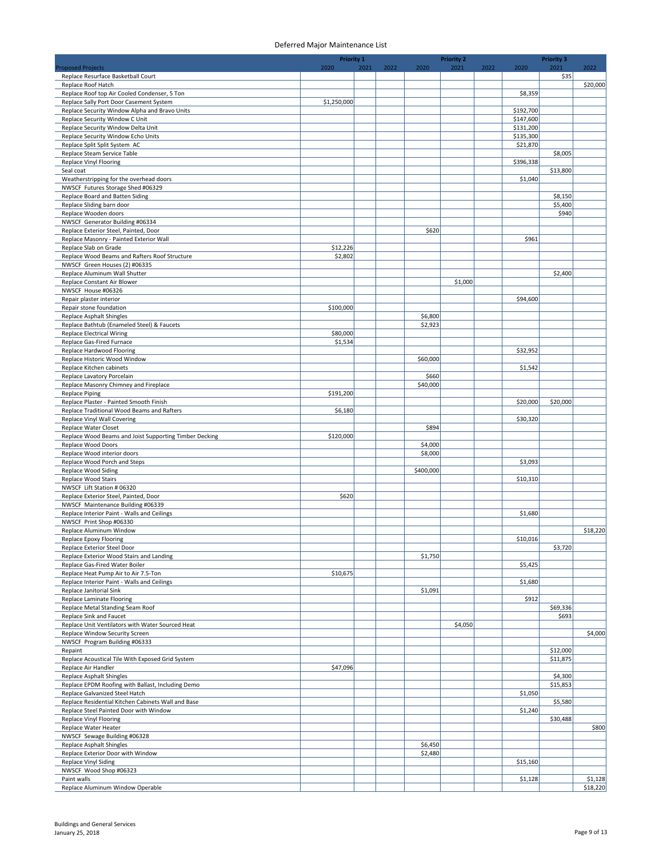|                                                                                      | <b>Priority 1</b>   |      |      |                    | <b>Priority 2</b> |      |                        | <b>Priority 3</b>   |          |
|--------------------------------------------------------------------------------------|---------------------|------|------|--------------------|-------------------|------|------------------------|---------------------|----------|
| <b>Proposed Projects</b>                                                             | 2020                | 2021 | 2022 | 2020               | 2021              | 2022 | 2020                   | 2021                | 2022     |
| Replace Resurface Basketball Court<br>Replace Roof Hatch                             |                     |      |      |                    |                   |      |                        | \$35                | \$20,000 |
| Replace Roof top Air Cooled Condenser, 5 Ton                                         |                     |      |      |                    |                   |      | \$8,359                |                     |          |
| Replace Sally Port Door Casement System                                              | \$1,250,000         |      |      |                    |                   |      |                        |                     |          |
| Replace Security Window Alpha and Bravo Units                                        |                     |      |      |                    |                   |      | \$192,700              |                     |          |
| Replace Security Window C Unit                                                       |                     |      |      |                    |                   |      | \$147,600              |                     |          |
| Replace Security Window Delta Unit<br>Replace Security Window Echo Units             |                     |      |      |                    |                   |      | \$131,200<br>\$135,300 |                     |          |
| Replace Split Split System AC                                                        |                     |      |      |                    |                   |      | \$21,870               |                     |          |
| Replace Steam Service Table                                                          |                     |      |      |                    |                   |      |                        | \$8,005             |          |
| Replace Vinyl Flooring                                                               |                     |      |      |                    |                   |      | \$396,338              |                     |          |
| Seal coat                                                                            |                     |      |      |                    |                   |      |                        | \$13,800            |          |
| Weatherstripping for the overhead doors                                              |                     |      |      |                    |                   |      | \$1,040                |                     |          |
| NWSCF Futures Storage Shed #06329<br>Replace Board and Batten Siding                 |                     |      |      |                    |                   |      |                        | \$8,150             |          |
| Replace Sliding barn door                                                            |                     |      |      |                    |                   |      |                        | \$5,400             |          |
| Replace Wooden doors                                                                 |                     |      |      |                    |                   |      |                        | \$940               |          |
| NWSCF Generator Building #06334                                                      |                     |      |      |                    |                   |      |                        |                     |          |
| Replace Exterior Steel, Painted, Door                                                |                     |      |      | \$620              |                   |      |                        |                     |          |
| Replace Masonry - Painted Exterior Wall                                              |                     |      |      |                    |                   |      | \$961                  |                     |          |
| Replace Slab on Grade<br>Replace Wood Beams and Rafters Roof Structure               | \$12,226<br>\$2,802 |      |      |                    |                   |      |                        |                     |          |
| NWSCF Green Houses (2) #06335                                                        |                     |      |      |                    |                   |      |                        |                     |          |
| Replace Aluminum Wall Shutter                                                        |                     |      |      |                    |                   |      |                        | \$2,400             |          |
| Replace Constant Air Blower                                                          |                     |      |      |                    | \$1,000           |      |                        |                     |          |
| NWSCF House #06326                                                                   |                     |      |      |                    |                   |      |                        |                     |          |
| Repair plaster interior                                                              |                     |      |      |                    |                   |      | \$94,600               |                     |          |
| Repair stone foundation<br><b>Replace Asphalt Shingles</b>                           | \$100,000           |      |      | \$6,800            |                   |      |                        |                     |          |
| Replace Bathtub (Enameled Steel) & Faucets                                           |                     |      |      | \$2,923            |                   |      |                        |                     |          |
| <b>Replace Electrical Wiring</b>                                                     | \$80,000            |      |      |                    |                   |      |                        |                     |          |
| Replace Gas-Fired Furnace                                                            | \$1,534             |      |      |                    |                   |      |                        |                     |          |
| Replace Hardwood Flooring                                                            |                     |      |      |                    |                   |      | \$32,952               |                     |          |
| Replace Historic Wood Window                                                         |                     |      |      | \$60,000           |                   |      |                        |                     |          |
| Replace Kitchen cabinets                                                             |                     |      |      |                    |                   |      | \$1,542                |                     |          |
| Replace Lavatory Porcelain<br>Replace Masonry Chimney and Fireplace                  |                     |      |      | \$660<br>\$40,000  |                   |      |                        |                     |          |
| <b>Replace Piping</b>                                                                | \$191,200           |      |      |                    |                   |      |                        |                     |          |
| Replace Plaster - Painted Smooth Finish                                              |                     |      |      |                    |                   |      | \$20,000               | \$20,000            |          |
| Replace Traditional Wood Beams and Rafters                                           | \$6,180             |      |      |                    |                   |      |                        |                     |          |
| Replace Vinyl Wall Covering                                                          |                     |      |      |                    |                   |      | \$30,320               |                     |          |
| <b>Replace Water Closet</b>                                                          |                     |      |      | \$894              |                   |      |                        |                     |          |
| Replace Wood Beams and Joist Supporting Timber Decking<br>Replace Wood Doors         | \$120,000           |      |      | \$4,000            |                   |      |                        |                     |          |
| Replace Wood interior doors                                                          |                     |      |      | \$8,000            |                   |      |                        |                     |          |
| Replace Wood Porch and Steps                                                         |                     |      |      |                    |                   |      | \$3,093                |                     |          |
| <b>Replace Wood Siding</b>                                                           |                     |      |      | \$400,000          |                   |      |                        |                     |          |
| Replace Wood Stairs                                                                  |                     |      |      |                    |                   |      | \$10,310               |                     |          |
| NWSCF Lift Station # 06320                                                           |                     |      |      |                    |                   |      |                        |                     |          |
| Replace Exterior Steel, Painted, Door<br>NWSCF Maintenance Building #06339           | \$620               |      |      |                    |                   |      |                        |                     |          |
| Replace Interior Paint - Walls and Ceilings                                          |                     |      |      |                    |                   |      | \$1,680                |                     |          |
| NWSCF Print Shop #06330                                                              |                     |      |      |                    |                   |      |                        |                     |          |
| Replace Aluminum Window                                                              |                     |      |      |                    |                   |      |                        |                     | \$18,220 |
| Replace Epoxy Flooring                                                               |                     |      |      |                    |                   |      | \$10,016               |                     |          |
| Replace Exterior Steel Door                                                          |                     |      |      |                    |                   |      |                        | \$3,720             |          |
| Replace Exterior Wood Stairs and Landing<br>Replace Gas-Fired Water Boiler           |                     |      |      | \$1,750            |                   |      | \$5,425                |                     |          |
| Replace Heat Pump Air to Air 7.5-Ton                                                 | \$10,675            |      |      |                    |                   |      |                        |                     |          |
| Replace Interior Paint - Walls and Ceilings                                          |                     |      |      |                    |                   |      | \$1,680                |                     |          |
| Replace Janitorial Sink                                                              |                     |      |      | \$1,091            |                   |      |                        |                     |          |
| <b>Replace Laminate Flooring</b>                                                     |                     |      |      |                    |                   |      | \$912                  |                     |          |
| Replace Metal Standing Seam Roof                                                     |                     |      |      |                    |                   |      |                        | \$69,336            |          |
| Replace Sink and Faucet<br>Replace Unit Ventilators with Water Sourced Heat          |                     |      |      |                    | \$4,050           |      |                        | \$693               |          |
| Replace Window Security Screen                                                       |                     |      |      |                    |                   |      |                        |                     | \$4,000  |
| NWSCF Program Building #06333                                                        |                     |      |      |                    |                   |      |                        |                     |          |
| Repaint                                                                              |                     |      |      |                    |                   |      |                        | \$12,000            |          |
| Replace Acoustical Tile With Exposed Grid System                                     |                     |      |      |                    |                   |      |                        | \$11,875            |          |
| Replace Air Handler                                                                  | \$47,096            |      |      |                    |                   |      |                        |                     |          |
| <b>Replace Asphalt Shingles</b><br>Replace EPDM Roofing with Ballast, Including Demo |                     |      |      |                    |                   |      |                        | \$4,300<br>\$15,853 |          |
| Replace Galvanized Steel Hatch                                                       |                     |      |      |                    |                   |      | \$1,050                |                     |          |
| Replace Residential Kitchen Cabinets Wall and Base                                   |                     |      |      |                    |                   |      |                        | \$5,580             |          |
| Replace Steel Painted Door with Window                                               |                     |      |      |                    |                   |      | \$1,240                |                     |          |
| Replace Vinyl Flooring                                                               |                     |      |      |                    |                   |      |                        | \$30,488            |          |
| Replace Water Heater                                                                 |                     |      |      |                    |                   |      |                        |                     | \$800    |
| NWSCF Sewage Building #06328                                                         |                     |      |      |                    |                   |      |                        |                     |          |
| Replace Asphalt Shingles<br>Replace Exterior Door with Window                        |                     |      |      | \$6,450<br>\$2,480 |                   |      |                        |                     |          |
| Replace Vinyl Siding                                                                 |                     |      |      |                    |                   |      | \$15,160               |                     |          |
| NWSCF Wood Shop #06323                                                               |                     |      |      |                    |                   |      |                        |                     |          |
| Paint walls                                                                          |                     |      |      |                    |                   |      | \$1,128                |                     | \$1,128  |
| Replace Aluminum Window Operable                                                     |                     |      |      |                    |                   |      |                        |                     | \$18,220 |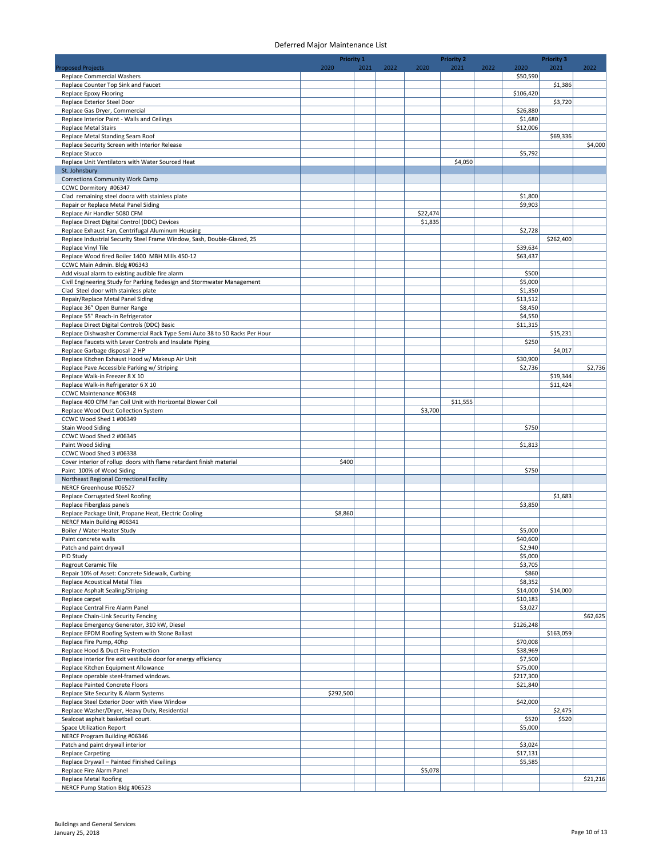| <b>Priority 1</b>                                                                                      |           |      |      | <b>Priority 2</b>   |          |      |                     | <b>Priority 3</b> |          |
|--------------------------------------------------------------------------------------------------------|-----------|------|------|---------------------|----------|------|---------------------|-------------------|----------|
| <b>Proposed Projects</b>                                                                               | 2020      | 2021 | 2022 | 2020                | 2021     | 2022 | 2020                | 2021              | 2022     |
| <b>Replace Commercial Washers</b><br>Replace Counter Top Sink and Faucet                               |           |      |      |                     |          |      | \$50,590            | \$1,386           |          |
| Replace Epoxy Flooring                                                                                 |           |      |      |                     |          |      | \$106,420           |                   |          |
| Replace Exterior Steel Door                                                                            |           |      |      |                     |          |      |                     | \$3,720           |          |
| Replace Gas Dryer, Commercial                                                                          |           |      |      |                     |          |      | \$26,880            |                   |          |
| Replace Interior Paint - Walls and Ceilings<br><b>Replace Metal Stairs</b>                             |           |      |      |                     |          |      | \$1,680<br>\$12,006 |                   |          |
| Replace Metal Standing Seam Roof                                                                       |           |      |      |                     |          |      |                     | \$69,336          |          |
| Replace Security Screen with Interior Release                                                          |           |      |      |                     |          |      |                     |                   | \$4,000  |
| Replace Stucco                                                                                         |           |      |      |                     |          |      | \$5,792             |                   |          |
| Replace Unit Ventilators with Water Sourced Heat                                                       |           |      |      |                     | \$4,050  |      |                     |                   |          |
| St. Johnsbury<br>Corrections Community Work Camp                                                       |           |      |      |                     |          |      |                     |                   |          |
| CCWC Dormitory #06347                                                                                  |           |      |      |                     |          |      |                     |                   |          |
| Clad remaining steel doora with stainless plate                                                        |           |      |      |                     |          |      | \$1,800             |                   |          |
| Repair or Replace Metal Panel Siding                                                                   |           |      |      |                     |          |      | \$9,903             |                   |          |
| Replace Air Handler 5080 CFM<br>Replace Direct Digital Control (DDC) Devices                           |           |      |      | \$22,474<br>\$1,835 |          |      |                     |                   |          |
| Replace Exhaust Fan, Centrifugal Aluminum Housing                                                      |           |      |      |                     |          |      | \$2,728             |                   |          |
| Replace Industrial Security Steel Frame Window, Sash, Double-Glazed, 25                                |           |      |      |                     |          |      |                     | \$262,400         |          |
| Replace Vinyl Tile                                                                                     |           |      |      |                     |          |      | \$39,634            |                   |          |
| Replace Wood fired Boiler 1400 MBH Mills 450-12                                                        |           |      |      |                     |          |      | \$63,437            |                   |          |
| CCWC Main Admin. Bldg #06343<br>Add visual alarm to existing audible fire alarm                        |           |      |      |                     |          |      | \$500               |                   |          |
| Civil Engineering Study for Parking Redesign and Stormwater Management                                 |           |      |      |                     |          |      | \$5,000             |                   |          |
| Clad Steel door with stainless plate                                                                   |           |      |      |                     |          |      | \$1,350             |                   |          |
| Repair/Replace Metal Panel Siding                                                                      |           |      |      |                     |          |      | \$13,512            |                   |          |
| Replace 36" Open Burner Range                                                                          |           |      |      |                     |          |      | \$8,450             |                   |          |
| Replace 55" Reach-In Refrigerator<br>Replace Direct Digital Controls (DDC) Basic                       |           |      |      |                     |          |      | \$4,550<br>\$11,315 |                   |          |
| Replace Dishwasher Commercial Rack Type Semi Auto 38 to 50 Racks Per Hour                              |           |      |      |                     |          |      |                     | \$15,231          |          |
| Replace Faucets with Lever Controls and Insulate Piping                                                |           |      |      |                     |          |      | \$250               |                   |          |
| Replace Garbage disposal 2 HP                                                                          |           |      |      |                     |          |      |                     | \$4,017           |          |
| Replace Kitchen Exhaust Hood w/ Makeup Air Unit                                                        |           |      |      |                     |          |      | \$30,900            |                   |          |
| Replace Pave Accessible Parking w/ Striping<br>Replace Walk-in Freezer 8 X 10                          |           |      |      |                     |          |      | \$2,736             | \$19,344          | \$2,736  |
| Replace Walk-in Refrigerator 6 X 10                                                                    |           |      |      |                     |          |      |                     | \$11,424          |          |
| CCWC Maintenance #06348                                                                                |           |      |      |                     |          |      |                     |                   |          |
| Replace 400 CFM Fan Coil Unit with Horizontal Blower Coil                                              |           |      |      |                     | \$11,555 |      |                     |                   |          |
| Replace Wood Dust Collection System<br>CCWC Wood Shed 1 #06349                                         |           |      |      | \$3,700             |          |      |                     |                   |          |
| <b>Stain Wood Siding</b>                                                                               |           |      |      |                     |          |      | \$750               |                   |          |
| CCWC Wood Shed 2 #06345                                                                                |           |      |      |                     |          |      |                     |                   |          |
| Paint Wood Siding                                                                                      |           |      |      |                     |          |      | \$1,813             |                   |          |
| CCWC Wood Shed 3 #06338                                                                                |           |      |      |                     |          |      |                     |                   |          |
| Cover interior of rollup doors with flame retardant finish material<br>Paint 100% of Wood Siding       | \$400     |      |      |                     |          |      | \$750               |                   |          |
| Northeast Regional Correctional Facility                                                               |           |      |      |                     |          |      |                     |                   |          |
| NERCF Greenhouse #06527                                                                                |           |      |      |                     |          |      |                     |                   |          |
| Replace Corrugated Steel Roofing                                                                       |           |      |      |                     |          |      |                     | \$1,683           |          |
| Replace Fiberglass panels                                                                              |           |      |      |                     |          |      | \$3,850             |                   |          |
| Replace Package Unit, Propane Heat, Electric Cooling<br>NERCF Main Building #06341                     | \$8,860   |      |      |                     |          |      |                     |                   |          |
| Boiler / Water Heater Study                                                                            |           |      |      |                     |          |      | \$5,000             |                   |          |
| Paint concrete walls                                                                                   |           |      |      |                     |          |      | \$40,600            |                   |          |
| Patch and paint drywall                                                                                |           |      |      |                     |          |      | \$2,940             |                   |          |
| PID Study<br>Regrout Ceramic Tile                                                                      |           |      |      |                     |          |      | \$5,000<br>\$3,705  |                   |          |
| Repair 10% of Asset: Concrete Sidewalk, Curbing                                                        |           |      |      |                     |          |      | \$860               |                   |          |
| Replace Acoustical Metal Tiles                                                                         |           |      |      |                     |          |      | \$8,352             |                   |          |
| Replace Asphalt Sealing/Striping                                                                       |           |      |      |                     |          |      | \$14,000            | \$14,000          |          |
| Replace carpet                                                                                         |           |      |      |                     |          |      | \$10,183            |                   |          |
| Replace Central Fire Alarm Panel<br>Replace Chain-Link Security Fencing                                |           |      |      |                     |          |      | \$3,027             |                   | \$62,625 |
| Replace Emergency Generator, 310 kW, Diesel                                                            |           |      |      |                     |          |      | \$126,248           |                   |          |
| Replace EPDM Roofing System with Stone Ballast                                                         |           |      |      |                     |          |      |                     | \$163,059         |          |
| Replace Fire Pump, 40hp                                                                                |           |      |      |                     |          |      | \$70,008            |                   |          |
| Replace Hood & Duct Fire Protection<br>Replace interior fire exit vestibule door for energy efficiency |           |      |      |                     |          |      | \$38,969<br>\$7,500 |                   |          |
| Replace Kitchen Equipment Allowance                                                                    |           |      |      |                     |          |      | \$75,000            |                   |          |
| Replace operable steel-framed windows.                                                                 |           |      |      |                     |          |      | \$217,300           |                   |          |
| Replace Painted Concrete Floors                                                                        |           |      |      |                     |          |      | \$21,840            |                   |          |
| Replace Site Security & Alarm Systems                                                                  | \$292,500 |      |      |                     |          |      |                     |                   |          |
| Replace Steel Exterior Door with View Window                                                           |           |      |      |                     |          |      | \$42,000            | \$2,475           |          |
| Replace Washer/Dryer, Heavy Duty, Residential<br>Sealcoat asphalt basketball court.                    |           |      |      |                     |          |      | \$520               | \$520             |          |
| <b>Space Utilization Report</b>                                                                        |           |      |      |                     |          |      | \$5,000             |                   |          |
| NERCF Program Building #06346                                                                          |           |      |      |                     |          |      |                     |                   |          |
| Patch and paint drywall interior                                                                       |           |      |      |                     |          |      | \$3,024             |                   |          |
| <b>Replace Carpeting</b><br>Replace Drywall - Painted Finished Ceilings                                |           |      |      |                     |          |      | \$17,131<br>\$5,585 |                   |          |
| Replace Fire Alarm Panel                                                                               |           |      |      | \$5,078             |          |      |                     |                   |          |
| <b>Replace Metal Roofing</b>                                                                           |           |      |      |                     |          |      |                     |                   | \$21,216 |
| NERCF Pump Station Bldg #06523                                                                         |           |      |      |                     |          |      |                     |                   |          |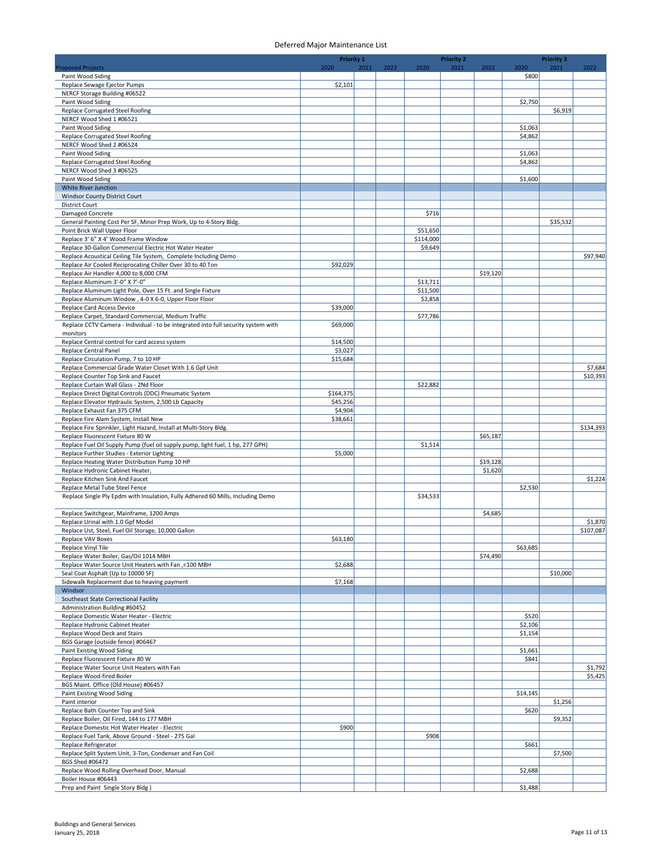|                                                                                                                                           | <b>Priority 1</b>   |      |      |           | <b>Priority 2</b> |                     |          | <b>Priority 3</b> |           |
|-------------------------------------------------------------------------------------------------------------------------------------------|---------------------|------|------|-----------|-------------------|---------------------|----------|-------------------|-----------|
| <b>Proposed Projects</b>                                                                                                                  | 2020                | 2021 | 2022 | 2020      | 2021              | 2022                | 2020     | 2021              | 2022      |
| Paint Wood Siding<br>Replace Sewage Ejector Pumps                                                                                         | \$2,101             |      |      |           |                   |                     | \$800    |                   |           |
| NERCF Storage Building #06522                                                                                                             |                     |      |      |           |                   |                     |          |                   |           |
| Paint Wood Siding                                                                                                                         |                     |      |      |           |                   |                     | \$2,750  |                   |           |
| <b>Replace Corrugated Steel Roofing</b>                                                                                                   |                     |      |      |           |                   |                     |          | \$6,919           |           |
| NERCF Wood Shed 1 #06521<br>Paint Wood Siding                                                                                             |                     |      |      |           |                   |                     | \$1,063  |                   |           |
| Replace Corrugated Steel Roofing                                                                                                          |                     |      |      |           |                   |                     | \$4,862  |                   |           |
| NERCF Wood Shed 2 #06524                                                                                                                  |                     |      |      |           |                   |                     |          |                   |           |
| Paint Wood Siding                                                                                                                         |                     |      |      |           |                   |                     | \$1,063  |                   |           |
| <b>Replace Corrugated Steel Roofing</b>                                                                                                   |                     |      |      |           |                   |                     | \$4,862  |                   |           |
| NERCF Wood Shed 3 #06525<br>Paint Wood Siding                                                                                             |                     |      |      |           |                   |                     | \$1,600  |                   |           |
| White River Junction                                                                                                                      |                     |      |      |           |                   |                     |          |                   |           |
| Windsor County District Court                                                                                                             |                     |      |      |           |                   |                     |          |                   |           |
| <b>District Court</b>                                                                                                                     |                     |      |      |           |                   |                     |          |                   |           |
| Damaged Concrete<br>General Painting Cost Per SF, Minor Prep Work, Up to 4-Story Bldg.                                                    |                     |      |      | \$716     |                   |                     |          | \$35,532          |           |
| Point Brick Wall Upper Floor                                                                                                              |                     |      |      | \$51,650  |                   |                     |          |                   |           |
| Replace 3' 6" X 4' Wood Frame Window                                                                                                      |                     |      |      | \$114,000 |                   |                     |          |                   |           |
| Replace 30-Gallon Commercial Electric Hot Water Heater                                                                                    |                     |      |      | \$9,649   |                   |                     |          |                   |           |
| Replace Acoustical Ceiling Tile System, Complete Including Demo                                                                           |                     |      |      |           |                   |                     |          |                   | \$97,940  |
| Replace Air Cooled Reciprocating Chiller Over 30 to 40 Ton<br>Replace Air Handler 4,000 to 8,000 CFM                                      | \$92,029            |      |      |           |                   | \$19,120            |          |                   |           |
| Replace Aluminum 3'-0" X 7'-0"                                                                                                            |                     |      |      | \$13,711  |                   |                     |          |                   |           |
| Replace Aluminum Light Pole, Over 15 Ft. and Single Fixture                                                                               |                     |      |      | \$11,500  |                   |                     |          |                   |           |
| Replace Aluminum Window, 4-0 X 6-0, Upper Floor Floor                                                                                     |                     |      |      | \$2,858   |                   |                     |          |                   |           |
| Replace Card Access Device                                                                                                                | \$39,000            |      |      |           |                   |                     |          |                   |           |
| Replace Carpet, Standard Commercial, Medium Traffic<br>Replace CCTV Camera - Individual - to be integrated into full security system with | \$69,000            |      |      | \$77,786  |                   |                     |          |                   |           |
| monitors                                                                                                                                  |                     |      |      |           |                   |                     |          |                   |           |
| Replace Central control for card access system                                                                                            | \$14,500            |      |      |           |                   |                     |          |                   |           |
| Replace Central Panel                                                                                                                     | \$3,027             |      |      |           |                   |                     |          |                   |           |
| Replace Circulation Pump, 7 to 10 HP<br>Replace Commercial Grade Water Closet With 1.6 Gpf Unit                                           | \$15,684            |      |      |           |                   |                     |          |                   | \$7,684   |
| Replace Counter Top Sink and Faucet                                                                                                       |                     |      |      |           |                   |                     |          |                   | \$10,393  |
| Replace Curtain Wall Glass - 2Nd Floor                                                                                                    |                     |      |      | \$22,882  |                   |                     |          |                   |           |
| Replace Direct Digital Controls (DDC) Pneumatic System                                                                                    | \$164,375           |      |      |           |                   |                     |          |                   |           |
| Replace Elevator Hydraulic System, 2,500 Lb Capacity                                                                                      | \$45,256            |      |      |           |                   |                     |          |                   |           |
| Replace Exhaust Fan 375 CFM<br>Replace Fire Alam System, Install New                                                                      | \$4,904<br>\$38,661 |      |      |           |                   |                     |          |                   |           |
| Replace Fire Sprinkler, Light Hazard, Install at Multi-Story Bldg.                                                                        |                     |      |      |           |                   |                     |          |                   | \$134,393 |
| Replace Fluorescent Fixture 80 W                                                                                                          |                     |      |      |           |                   | \$65,187            |          |                   |           |
| Replace Fuel Oil Supply Pump (fuel oil supply pump, light fuel, 1 hp, 277 GPH)                                                            |                     |      |      | \$1,514   |                   |                     |          |                   |           |
| Replace Further Studies - Exterior Lighting                                                                                               | \$5,000             |      |      |           |                   |                     |          |                   |           |
| Replace Heating Water Distribution Pump 10 HP<br>Replace Hydronic Cabinet Heater,                                                         |                     |      |      |           |                   | \$19,128<br>\$1,620 |          |                   |           |
| Replace Kitchen Sink And Faucet                                                                                                           |                     |      |      |           |                   |                     |          |                   | \$1,224   |
| Replace Metal Tube Steel Fence                                                                                                            |                     |      |      |           |                   |                     | \$2,530  |                   |           |
| Replace Single Ply Epdm with Insulation, Fully Adhered 60 Mills, Including Demo                                                           |                     |      |      | \$34,533  |                   |                     |          |                   |           |
| Replace Switchgear, Mainframe, 1200 Amps                                                                                                  |                     |      |      |           |                   | \$4,685             |          |                   |           |
| Replace Urinal with 1.0 Gpf Model                                                                                                         |                     |      |      |           |                   |                     |          |                   | \$1,870   |
| Replace Ust, Steel, Fuel Oil Storage, 10,000 Gallon                                                                                       |                     |      |      |           |                   |                     |          |                   | \$107,087 |
| Replace VAV Boxes                                                                                                                         | \$63,180            |      |      |           |                   |                     |          |                   |           |
| Replace Vinyl Tile<br>Replace Water Boiler, Gas/Oil 1014 MBH                                                                              |                     |      |      |           |                   | \$74,490            | \$63,685 |                   |           |
| Replace Water Source Unit Heaters with Fan ,<100 MBH                                                                                      | \$2,688             |      |      |           |                   |                     |          |                   |           |
| Seal Coat Asphalt (Up to 10000 SF)                                                                                                        |                     |      |      |           |                   |                     |          | \$10,000          |           |
| Sidewalk Replacement due to heaving payment                                                                                               | \$7,168             |      |      |           |                   |                     |          |                   |           |
| Windsor                                                                                                                                   |                     |      |      |           |                   |                     |          |                   |           |
| Southeast State Correctional Facility<br>Administration Building #60452                                                                   |                     |      |      |           |                   |                     |          |                   |           |
| Replace Domestic Water Heater - Electric                                                                                                  |                     |      |      |           |                   |                     | \$520    |                   |           |
| Replace Hydronic Cabinet Heater                                                                                                           |                     |      |      |           |                   |                     | \$2,106  |                   |           |
| Replace Wood Deck and Stairs                                                                                                              |                     |      |      |           |                   |                     | \$1,154  |                   |           |
| BGS Garage (outside fence) #06467<br>Paint Existing Wood Siding                                                                           |                     |      |      |           |                   |                     | \$1,661  |                   |           |
| Replace Fluorescent Fixture 80 W                                                                                                          |                     |      |      |           |                   |                     | \$841    |                   |           |
| Replace Water Source Unit Heaters with Fan                                                                                                |                     |      |      |           |                   |                     |          |                   | \$1,792   |
| Replace Wood-fired Boiler                                                                                                                 |                     |      |      |           |                   |                     |          |                   | \$5,425   |
| BGS Maint. Office (Old House) #06457                                                                                                      |                     |      |      |           |                   |                     |          |                   |           |
| Paint Existing Wood Siding<br>Paint interior                                                                                              |                     |      |      |           |                   |                     | \$14,145 | \$1,256           |           |
| Replace Bath Counter Top and Sink                                                                                                         |                     |      |      |           |                   |                     | \$620    |                   |           |
| Replace Boiler, Oil Fired, 144 to 177 MBH                                                                                                 |                     |      |      |           |                   |                     |          | \$9,352           |           |
| Replace Domestic Hot Water Heater - Electric                                                                                              | \$900               |      |      |           |                   |                     |          |                   |           |
| Replace Fuel Tank, Above Ground - Steel - 275 Gal<br>Replace Refrigerator                                                                 |                     |      |      | \$908     |                   |                     | \$661    |                   |           |
| Replace Split System Unit, 3-Ton, Condenser and Fan Coil                                                                                  |                     |      |      |           |                   |                     |          | \$7,500           |           |
| BGS Shed #06472                                                                                                                           |                     |      |      |           |                   |                     |          |                   |           |
| Replace Wood Rolling Overhead Door, Manual                                                                                                |                     |      |      |           |                   |                     | \$2,688  |                   |           |
| Boiler House #06443<br>Prep and Paint Single Story Bldg)                                                                                  |                     |      |      |           |                   |                     | \$1,488  |                   |           |
|                                                                                                                                           |                     |      |      |           |                   |                     |          |                   |           |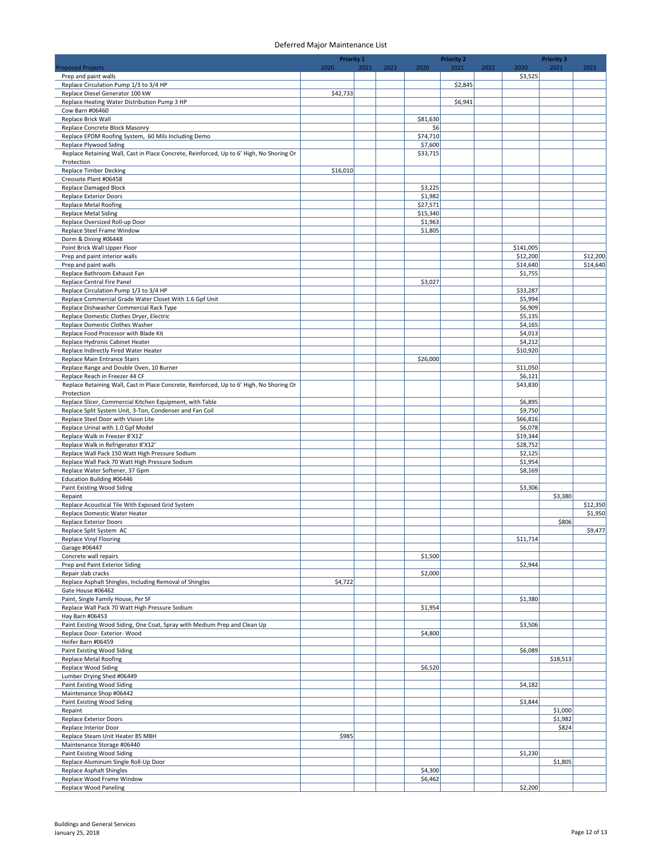|                                                                                                        | <b>Priority 1</b> |      |      |                    | <b>Priority 2</b> |      |                     | <b>Priority 3</b> |          |
|--------------------------------------------------------------------------------------------------------|-------------------|------|------|--------------------|-------------------|------|---------------------|-------------------|----------|
| <b>Proposed Projects</b>                                                                               | 2020              | 2021 | 2022 | 2020               | 2021              | 2022 | 2020                | 2021              | 2022     |
| Prep and paint walls                                                                                   |                   |      |      |                    |                   |      | \$3,525             |                   |          |
| Replace Circulation Pump 1/3 to 3/4 HP                                                                 |                   |      |      |                    | \$2,845           |      |                     |                   |          |
| Replace Diesel Generator 100 kW<br>Replace Heating Water Distribution Pump 3 HP                        | \$42,733          |      |      |                    | \$6,941           |      |                     |                   |          |
| Cow Barn #06460                                                                                        |                   |      |      |                    |                   |      |                     |                   |          |
| Replace Brick Wall                                                                                     |                   |      |      | \$81,630           |                   |      |                     |                   |          |
| Replace Concrete Block Masonry                                                                         |                   |      |      | \$6                |                   |      |                     |                   |          |
| Replace EPDM Roofing System, 60 Mils Including Demo                                                    |                   |      |      | \$74,710           |                   |      |                     |                   |          |
| Replace Plywood Siding                                                                                 |                   |      |      | \$7,600            |                   |      |                     |                   |          |
| Replace Retaining Wall, Cast in Place Concrete, Reinforced, Up to 6' High, No Shoring Or               |                   |      |      | \$33,715           |                   |      |                     |                   |          |
| Protection                                                                                             |                   |      |      |                    |                   |      |                     |                   |          |
| <b>Replace Timber Decking</b>                                                                          | \$16,010          |      |      |                    |                   |      |                     |                   |          |
| Creosote Plant #06458                                                                                  |                   |      |      |                    |                   |      |                     |                   |          |
| <b>Replace Damaged Block</b>                                                                           |                   |      |      | \$3,225            |                   |      |                     |                   |          |
| <b>Replace Exterior Doors</b>                                                                          |                   |      |      | \$1,982            |                   |      |                     |                   |          |
| <b>Replace Metal Roofing</b>                                                                           |                   |      |      | \$27,571           |                   |      |                     |                   |          |
| Replace Metal Siding                                                                                   |                   |      |      | \$15,340           |                   |      |                     |                   |          |
| Replace Oversized Roll-up Door<br>Replace Steel Frame Window                                           |                   |      |      | \$1,963<br>\$1,805 |                   |      |                     |                   |          |
| Dorm & Dining #06448                                                                                   |                   |      |      |                    |                   |      |                     |                   |          |
| Point Brick Wall Upper Floor                                                                           |                   |      |      |                    |                   |      | \$141,005           |                   |          |
| Prep and paint interior walls                                                                          |                   |      |      |                    |                   |      | \$12,200            |                   | \$12,200 |
| Prep and paint walls                                                                                   |                   |      |      |                    |                   |      | \$14,640            |                   | \$14,640 |
| Replace Bathroom Exhaust Fan                                                                           |                   |      |      |                    |                   |      | \$1,755             |                   |          |
| Replace Central Fire Panel                                                                             |                   |      |      | \$3,027            |                   |      |                     |                   |          |
| Replace Circulation Pump 1/3 to 3/4 HP                                                                 |                   |      |      |                    |                   |      | \$33,287            |                   |          |
| Replace Commercial Grade Water Closet With 1.6 Gpf Unit                                                |                   |      |      |                    |                   |      | \$5,994             |                   |          |
| Replace Dishwasher Commercial Rack Type                                                                |                   |      |      |                    |                   |      | \$6,909             |                   |          |
| Replace Domestic Clothes Dryer, Electric                                                               |                   |      |      |                    |                   |      | \$5,135             |                   |          |
| Replace Domestic Clothes Washer                                                                        |                   |      |      |                    |                   |      | \$4,165             |                   |          |
| Replace Food Processor with Blade Kit                                                                  |                   |      |      |                    |                   |      | \$4,013             |                   |          |
| Replace Hydronic Cabinet Heater                                                                        |                   |      |      |                    |                   |      | \$4,212             |                   |          |
| Replace Indirectly Fired Water Heater                                                                  |                   |      |      |                    |                   |      | \$10,920            |                   |          |
| Replace Main Entrance Stairs                                                                           |                   |      |      | \$26,000           |                   |      |                     |                   |          |
| Replace Range and Double Oven, 10 Burner                                                               |                   |      |      |                    |                   |      | \$11,050            |                   |          |
| Replace Reach in Freezer 44 CF                                                                         |                   |      |      |                    |                   |      | \$6,121<br>\$43,830 |                   |          |
| Replace Retaining Wall, Cast in Place Concrete, Reinforced, Up to 6' High, No Shoring Or<br>Protection |                   |      |      |                    |                   |      |                     |                   |          |
| Replace Slicer, Commercial Kitchen Equipment, with Table                                               |                   |      |      |                    |                   |      | \$6,895             |                   |          |
| Replace Split System Unit, 3-Ton, Condenser and Fan Coil                                               |                   |      |      |                    |                   |      | \$9,750             |                   |          |
| Replace Steel Door with Vision Lite                                                                    |                   |      |      |                    |                   |      | \$66,816            |                   |          |
| Replace Urinal with 1.0 Gpf Model                                                                      |                   |      |      |                    |                   |      | \$6,078             |                   |          |
| Replace Walk in Freezer 8'X12'                                                                         |                   |      |      |                    |                   |      | \$19,344            |                   |          |
| Replace Walk in Refrigerator 8'X12'                                                                    |                   |      |      |                    |                   |      | \$28,752            |                   |          |
| Replace Wall Pack 150 Watt High Pressure Sodium                                                        |                   |      |      |                    |                   |      | \$2,125             |                   |          |
| Replace Wall Pack 70 Watt High Pressure Sodium                                                         |                   |      |      |                    |                   |      | \$1,954             |                   |          |
| Replace Water Softener, 37 Gpm                                                                         |                   |      |      |                    |                   |      | \$8,169             |                   |          |
| Education Building #06446                                                                              |                   |      |      |                    |                   |      |                     |                   |          |
| Paint Existing Wood Siding                                                                             |                   |      |      |                    |                   |      | \$3,306             |                   |          |
| Repaint                                                                                                |                   |      |      |                    |                   |      |                     | \$3,380           |          |
| Replace Acoustical Tile With Exposed Grid System                                                       |                   |      |      |                    |                   |      |                     |                   | \$12,350 |
| Replace Domestic Water Heater                                                                          |                   |      |      |                    |                   |      |                     |                   | \$1,950  |
| <b>Replace Exterior Doors</b><br>Replace Split System AC                                               |                   |      |      |                    |                   |      |                     | \$806             | \$9,477  |
|                                                                                                        |                   |      |      |                    |                   |      |                     |                   |          |
| Replace Vinyl Flooring<br>Garage #06447                                                                |                   |      |      |                    |                   |      | \$11,714            |                   |          |
| Concrete wall repairs                                                                                  |                   |      |      | \$1,500            |                   |      |                     |                   |          |
| Prep and Paint Exterior Siding                                                                         |                   |      |      |                    |                   |      | \$2,944             |                   |          |
| Repair slab cracks                                                                                     |                   |      |      | \$2,000            |                   |      |                     |                   |          |
| Replace Asphalt Shingles, Including Removal of Shingles                                                | \$4,722           |      |      |                    |                   |      |                     |                   |          |
| Gate House #06462                                                                                      |                   |      |      |                    |                   |      |                     |                   |          |
| Paint, Single Family House, Per SF                                                                     |                   |      |      |                    |                   |      | \$1,380             |                   |          |
| Replace Wall Pack 70 Watt High Pressure Sodium                                                         |                   |      |      | \$1,954            |                   |      |                     |                   |          |
| Hay Barn #06453                                                                                        |                   |      |      |                    |                   |      |                     |                   |          |
| Paint Existing Wood Siding, One Coat, Spray with Medium Prep and Clean Up                              |                   |      |      |                    |                   |      | \$3,506             |                   |          |
| Replace Door- Exterior- Wood                                                                           |                   |      |      | \$4,800            |                   |      |                     |                   |          |
| Heifer Barn #06459                                                                                     |                   |      |      |                    |                   |      |                     |                   |          |
| Paint Existing Wood Siding                                                                             |                   |      |      |                    |                   |      | \$6,089             |                   |          |
| <b>Replace Metal Roofing</b>                                                                           |                   |      |      |                    |                   |      |                     | \$18,513          |          |
| <b>Replace Wood Siding</b><br>Lumber Drying Shed #06449                                                |                   |      |      | \$6,520            |                   |      |                     |                   |          |
| Paint Existing Wood Siding                                                                             |                   |      |      |                    |                   |      | \$4,182             |                   |          |
| Maintenance Shop #06442                                                                                |                   |      |      |                    |                   |      |                     |                   |          |
| Paint Existing Wood Siding                                                                             |                   |      |      |                    |                   |      | \$3,844             |                   |          |
| Repaint                                                                                                |                   |      |      |                    |                   |      |                     | \$1,000           |          |
| <b>Replace Exterior Doors</b>                                                                          |                   |      |      |                    |                   |      |                     | \$1,982           |          |
| Replace Interior Door                                                                                  |                   |      |      |                    |                   |      |                     | \$824             |          |
| Replace Steam Unit Heater 85 MBH                                                                       | \$985             |      |      |                    |                   |      |                     |                   |          |
| Maintenance Storage #06440                                                                             |                   |      |      |                    |                   |      |                     |                   |          |
| Paint Existing Wood Siding                                                                             |                   |      |      |                    |                   |      | \$1,230             |                   |          |
| Replace Aluminum Single Roll-Up Door                                                                   |                   |      |      |                    |                   |      |                     | \$1,805           |          |
| Replace Asphalt Shingles                                                                               |                   |      |      | \$4,300            |                   |      |                     |                   |          |
| Replace Wood Frame Window                                                                              |                   |      |      | \$6,462            |                   |      |                     |                   |          |
| Replace Wood Paneling                                                                                  |                   |      |      |                    |                   |      | \$2,200             |                   |          |